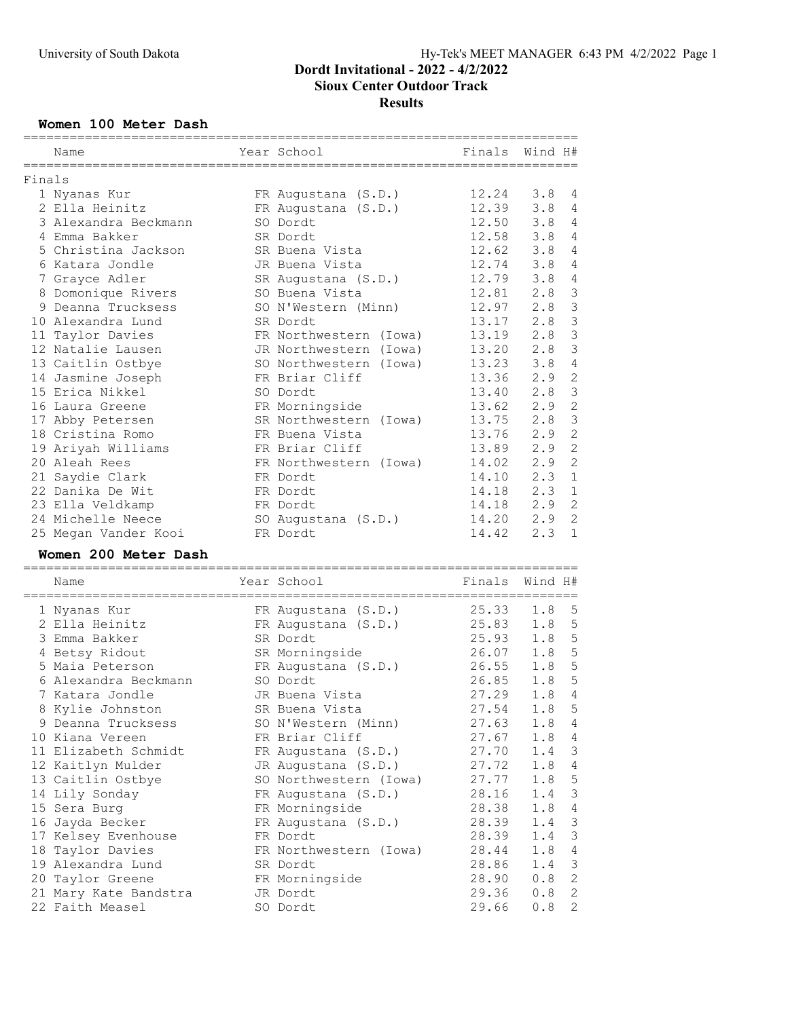### Women 100 Meter Dash

|        | Name                                     | Year School            | Finals         | Wind H#    |                   |
|--------|------------------------------------------|------------------------|----------------|------------|-------------------|
| Finals |                                          |                        |                |            |                   |
|        | 1 Nyanas Kur                             | FR Augustana (S.D.)    | 12.24          | 3.8        | 4                 |
|        | 2 Ella Heinitz                           | FR Augustana (S.D.)    | 12.39          | 3.8        | 4                 |
|        | 3 Alexandra Beckmann                     | SO Dordt               | 12.50          | 3.8        | 4                 |
|        | 4 Emma Bakker                            | SR Dordt               | 12.58          | 3.8        | 4                 |
|        | 5 Christina Jackson                      | SR Buena Vista         | 12.62          | 3.8        | 4                 |
|        | 6 Katara Jondle                          | JR Buena Vista         | 12.74          | 3.8        | 4                 |
|        |                                          |                        | 12.79          | 3.8        | $\overline{4}$    |
|        | 7 Grayce Adler                           | SR Augustana (S.D.)    |                | 2.8        | $\mathsf 3$       |
|        | 8 Domonique Rivers                       | SO Buena Vista         | 12.81          |            | $\mathcal{S}$     |
|        | 9 Deanna Trucksess                       | SO N'Western (Minn)    | 12.97          | 2.8        |                   |
|        | 10 Alexandra Lund                        | SR Dordt               | 13.17          | 2.8        | $\mathsf 3$       |
|        | 11 Taylor Davies                         | FR Northwestern (Iowa) | 13.19          | 2.8        | $\mathsf 3$       |
|        | 12 Natalie Lausen                        | JR Northwestern (Iowa) | 13.20          | 2.8        | 3                 |
|        | 13 Caitlin Ostbye                        | SO Northwestern (Iowa) | 13.23          | 3.8        | $\sqrt{4}$        |
|        | 14 Jasmine Joseph                        | FR Briar Cliff         | 13.36          | 2.9        | $\sqrt{2}$        |
|        | 15 Erica Nikkel                          | SO Dordt               | 13.40          | 2.8        | $\mathcal{S}$     |
|        | 16 Laura Greene                          | FR Morningside         | 13.62          | 2.9        | 2                 |
|        | 17 Abby Petersen                         | SR Northwestern (Iowa) | 13.75          | 2.8        | 3                 |
|        | 18 Cristina Romo                         | FR Buena Vista         | 13.76          | 2.9        | $\mathbf{2}$      |
|        | 19 Ariyah Williams                       | FR Briar Cliff         | 13.89          | 2.9        | $\mathbf{2}$      |
|        | 20 Aleah Rees                            | FR Northwestern (Iowa) | 14.02          | 2.9        | $\mathbf{2}$      |
|        | 21 Saydie Clark                          | FR Dordt               | 14.10          | 2.3        | $\mathbf{1}$      |
|        | 22 Danika De Wit                         | FR Dordt               | 14.18          | 2.3        | $\mathbf{1}$      |
|        | 23 Ella Veldkamp                         | FR Dordt               | 14.18          | 2.9        | $\mathbf{2}$      |
|        | 24 Michelle Neece                        | SO Augustana (S.D.)    | 14.20          | 2.9        | $\mathbf{2}$      |
|        | 25 Megan Vander Kooi                     | FR Dordt               | 14.42          | 2.3        | $\mathbf{1}$      |
|        |                                          |                        |                |            |                   |
|        | Women 200 Meter Dash                     |                        |                |            |                   |
|        | Name                                     | Year School            | Finals         | Wind H#    |                   |
|        |                                          |                        |                |            |                   |
|        | 1 Nyanas Kur                             | FR Augustana (S.D.)    | 25.33          | 1.8        | 5                 |
|        | 2 Ella Heinitz                           | FR Augustana (S.D.)    | 25.83          | 1.8        | $\mathsf S$       |
|        | 3 Emma Bakker                            | SR Dordt               | 25.93          | 1.8        | $\mathsf S$       |
|        | 4 Betsy Ridout                           | SR Morningside         | 26.07          | 1.8        | $\mathsf S$       |
|        | 5 Maia Peterson                          | FR Augustana (S.D.)    | 26.55          | 1.8        | $\mathsf S$       |
|        | 6 Alexandra Beckmann                     | SO Dordt               | 26.85          | 1.8        | 5                 |
|        | 7 Katara Jondle                          | JR Buena Vista         | 27.29          | 1.8        | $\sqrt{4}$        |
|        | 8 Kylie Johnston                         | SR Buena Vista         | 27.54          | 1.8        | 5                 |
|        | 9 Deanna Trucksess                       | SO N'Western (Minn)    | 27.63          | 1.8        | 4                 |
|        | 10 Kiana Vereen                          | FR Briar Cliff         | 27.67          | 1.8        | 4                 |
|        | 11 Elizabeth Schmidt                     | FR Augustana (S.D.)    | 27.70          | 1.4        | 3                 |
|        | 12 Kaitlyn Mulder                        | JR Augustana (S.D.)    | 27.72          | 1.8        | 4                 |
|        | 13 Caitlin Ostbye                        | SO Northwestern (Iowa) | 27.77          | 1.8        | $\mathsf S$       |
|        | 14 Lily Sonday                           | FR Augustana (S.D.)    | 28.16          | 1.4        | $\mathfrak{Z}$    |
|        | 15 Sera Burg                             | FR Morningside         | 28.38          | 1.8        | 4                 |
|        | 16 Jayda Becker                          | FR Augustana (S.D.)    | 28.39          | 1.4        | 3                 |
|        | 17 Kelsey Evenhouse                      | FR Dordt               | 28.39          | 1.4        | 3                 |
|        | 18 Taylor Davies                         | FR Northwestern (Iowa) | 28.44          | 1.8        | 4                 |
|        | 19 Alexandra Lund                        | SR Dordt               | 28.86          | 1.4        | 3                 |
|        | 20 Taylor Greene                         | FR Morningside         | 28.90          | 0.8        | $\mathbf{2}$      |
|        | 21 Mary Kate Bandstra<br>22 Faith Measel | JR Dordt<br>SO Dordt   | 29.36<br>29.66 | 0.8<br>0.8 | 2<br>$\mathbf{2}$ |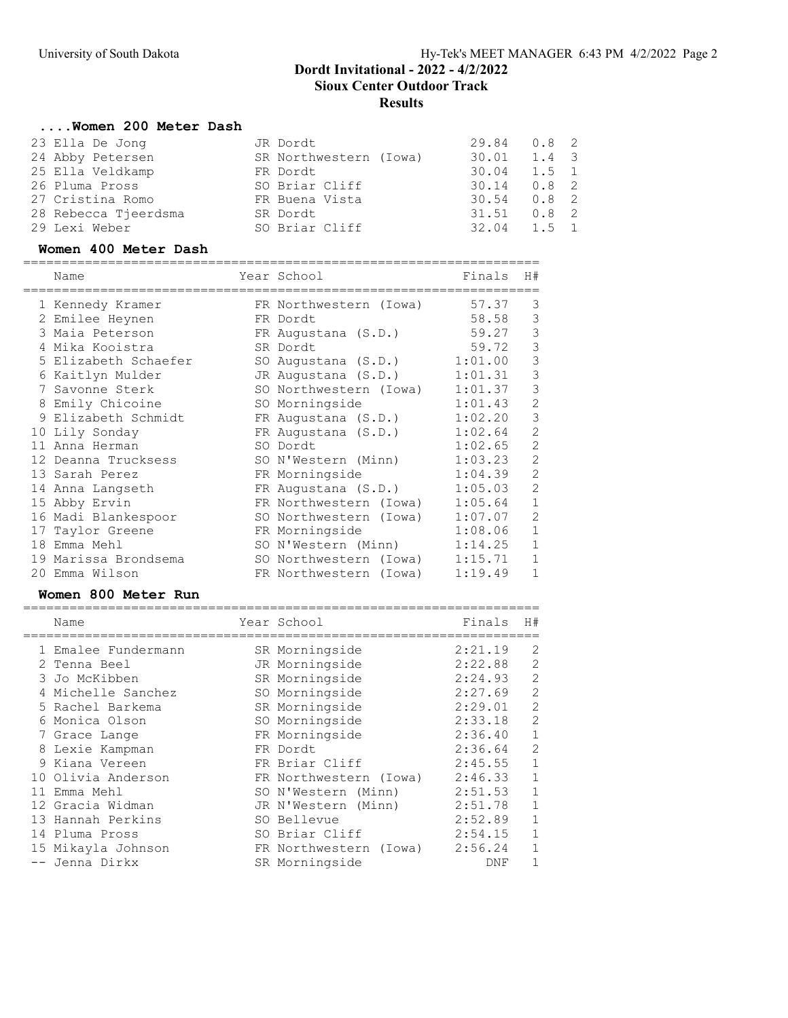### ....Women 200 Meter Dash

| 23 Ella De Jong      | JR Dordt               | 29.84 0.8 2   |       |  |
|----------------------|------------------------|---------------|-------|--|
| 24 Abby Petersen     | SR Northwestern (Iowa) | 30.01         | 1.4 3 |  |
| 25 Ella Veldkamp     | FR Dordt               | 30.04 1.5 1   |       |  |
| 26 Pluma Pross       | SO Briar Cliff         | $30.14$ 0.8 2 |       |  |
| 27 Cristina Romo     | FR Buena Vista         | $30.54$ 0.8 2 |       |  |
| 28 Rebecca Tjeerdsma | SR Dordt               | $31.51$ 0.8 2 |       |  |
| 29 Lexi Weber        | SO Briar Cliff         | $32.04$ 1.5 1 |       |  |

#### Women 400 Meter Dash

|    | Name                 | Year School            | Finals  | H#             |
|----|----------------------|------------------------|---------|----------------|
|    | 1 Kennedy Kramer     | FR Northwestern (Iowa) | 57.37   | 3              |
|    | 2 Emilee Heynen      | FR Dordt               | 58.58   | 3              |
|    | 3 Maia Peterson      | FR Augustana (S.D.)    | 59.27   | 3              |
|    | 4 Mika Kooistra      | SR Dordt               | 59.72   | 3              |
|    | 5 Elizabeth Schaefer | SO Augustana (S.D.)    | 1:01.00 | 3              |
|    | 6 Kaitlyn Mulder     | JR Augustana (S.D.)    | 1:01.31 | 3              |
|    | 7 Savonne Sterk      | SO Northwestern (Iowa) | 1:01.37 | 3              |
| 8  | Emily Chicoine       | SO Morningside         | 1:01.43 | $\overline{2}$ |
|    | 9 Elizabeth Schmidt  | FR Augustana (S.D.)    | 1:02.20 | 3              |
|    | 10 Lily Sonday       | FR Augustana (S.D.)    | 1:02.64 | $\overline{2}$ |
|    | 11 Anna Herman       | SO Dordt               | 1:02.65 | $\overline{2}$ |
|    | 12 Deanna Trucksess  | SO N'Western (Minn)    | 1:03.23 | $\overline{2}$ |
|    | 13 Sarah Perez       | FR Morningside         | 1:04.39 | $\overline{2}$ |
|    | 14 Anna Langseth     | FR Augustana (S.D.)    | 1:05.03 | $\overline{2}$ |
|    | 15 Abby Ervin        | FR Northwestern (Iowa) | 1:05.64 | $\mathbf{1}$   |
|    | 16 Madi Blankespoor  | SO Northwestern (Iowa) | 1:07.07 | $\overline{2}$ |
|    | 17 Taylor Greene     | FR Morningside         | 1:08.06 | $\mathbf 1$    |
| 18 | Emma Mehl            | SO N'Western (Minn)    | 1:14.25 | 1              |
|    | 19 Marissa Brondsema | SO Northwestern (Iowa) | 1:15.71 | $\mathbf{1}$   |
|    | 20 Emma Wilson       | FR Northwestern (Iowa) | 1:19.49 | $\mathbf{1}$   |

#### Women 800 Meter Run ===================================================================

| Name                | Year School            | Finals  | H#             |
|---------------------|------------------------|---------|----------------|
| 1 Emalee Fundermann | SR Morningside         | 2:21.19 | 2              |
| 2 Tenna Beel        | JR Morningside         | 2:22.88 | $\overline{2}$ |
| 3 Jo McKibben       | SR Morningside         | 2:24.93 | $\overline{2}$ |
| 4 Michelle Sanchez  | SO Morningside         | 2:27.69 | $\overline{2}$ |
| 5 Rachel Barkema    | SR Morningside         | 2:29.01 | 2              |
| 6 Monica Olson      | SO Morningside         | 2:33.18 | 2              |
| 7 Grace Lange       | FR Morningside         | 2:36.40 | $\mathbf{1}$   |
| 8 Lexie Kampman     | FR Dordt               | 2:36.64 | 2              |
| 9 Kiana Vereen      | FR Briar Cliff         | 2:45.55 | $\mathbf{1}$   |
| 10 Olivia Anderson  | FR Northwestern (Iowa) | 2:46.33 | $\mathbf{1}$   |
| 11 Emma Mehl        | SO N'Western (Minn)    | 2:51.53 | $\mathbf{1}$   |
| 12 Gracia Widman    | JR N'Western (Minn)    | 2:51.78 | $\mathbf{1}$   |
| 13 Hannah Perkins   | SO Bellevue            | 2:52.89 | $\mathbf{1}$   |
| 14 Pluma Pross      | SO Briar Cliff         | 2:54.15 | $\mathbf{1}$   |
| 15 Mikayla Johnson  | FR Northwestern (Iowa) | 2:56.24 | $\mathbf{1}$   |
| -- Jenna Dirkx      | SR Morningside         | DNF     | 1              |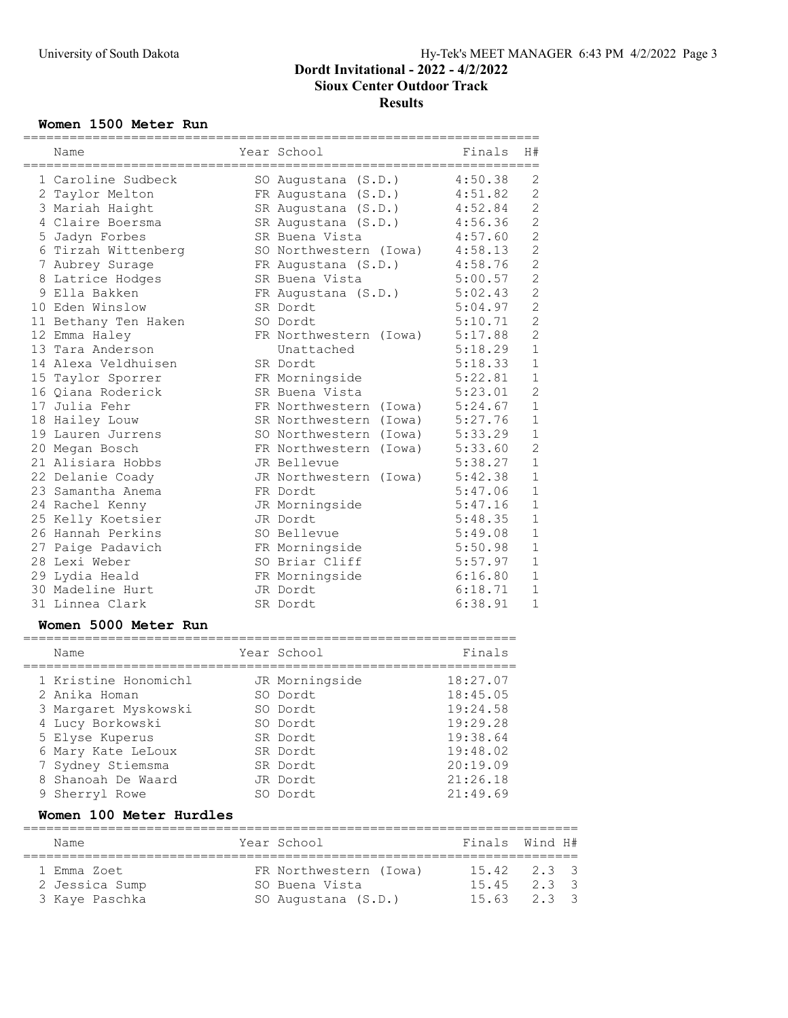### Women 1500 Meter Run

| Name                                   | Year School<br>=====              | Finals             | H#                   |
|----------------------------------------|-----------------------------------|--------------------|----------------------|
| 1 Caroline Sudbeck                     | SO Augustana (S.D.)               | 4:50.38            | 2                    |
| 2 Taylor Melton                        | FR Augustana (S.D.)               | 4:51.82            | $\overline{c}$       |
| 3 Mariah Haight                        | SR Augustana (S.D.)               | 4:52.84            | $\mathbf{2}$         |
| 4 Claire Boersma                       | SR Augustana (S.D.)               | 4:56.36            | $\overline{c}$       |
| 5 Jadyn Forbes                         | SR Buena Vista                    | 4:57.60            | $\overline{2}$       |
| 6 Tirzah Wittenberg                    | SO Northwestern (Iowa)            | 4:58.13            | $\overline{c}$       |
| 7 Aubrey Surage                        | FR Augustana (S.D.)               | 4:58.76            | $\overline{c}$       |
| 8 Latrice Hodges                       | SR Buena Vista                    | 5:00.57            | $\overline{2}$       |
| 9 Ella Bakken                          | FR Augustana (S.D.)               | 5:02.43            | $\overline{c}$       |
| 10 Eden Winslow                        | SR Dordt                          | 5:04.97            | $\overline{c}$       |
| 11 Bethany Ten Haken                   | SO Dordt                          | 5:10.71            | $\overline{2}$       |
| 12 Emma Haley                          | FR Northwestern (Iowa)            | 5:17.88            | $\overline{c}$       |
| 13 Tara Anderson                       | Unattached                        | 5:18.29            | $1\,$                |
| 14 Alexa Veldhuisen                    | SR Dordt                          | 5:18.33            | $\mathbf{1}$         |
| 15 Taylor Sporrer                      | FR Morningside                    | 5:22.81            | $\mathbf{1}$         |
| 16 Qiana Roderick                      | SR Buena Vista                    | 5:23.01            | $\overline{c}$       |
| 17 Julia Fehr                          | FR Northwestern (Iowa)            | 5:24.67            | $\mathbf 1$          |
| 18 Hailey Louw                         | SR Northwestern (Iowa)            | 5:27.76            | $\mathbf 1$          |
| 19 Lauren Jurrens                      | SO Northwestern (Iowa)            | 5:33.29            | $\mathbf{1}$         |
| 20 Megan Bosch                         | FR Northwestern (Iowa)            | 5:33.60            | $\overline{2}$       |
| 21 Alisiara Hobbs                      | JR Bellevue                       | 5:38.27            | $\mathbf{1}$         |
| 22 Delanie Coady                       | JR Northwestern (Iowa)            | 5:42.38            | $\mathbf{1}$         |
| 23 Samantha Anema                      | FR Dordt                          | 5:47.06            | $1\,$                |
| 24 Rachel Kenny                        | JR Morningside<br>JR Dordt        | 5:47.16            | $\mathbf 1$<br>$1\,$ |
| 25 Kelly Koetsier                      | SO Bellevue                       | 5:48.35            | $\mathbf 1$          |
| 26 Hannah Perkins<br>27 Paige Padavich |                                   | 5:49.08<br>5:50.98 | $\mathbf{1}$         |
| 28 Lexi Weber                          | FR Morningside<br>SO Briar Cliff  | 5:57.97            | $\mathbf{1}$         |
| 29 Lydia Heald                         | FR Morningside                    | 6:16.80            | $\mathbf 1$          |
| 30 Madeline Hurt                       | JR Dordt                          | 6:18.71            | $\mathbf 1$          |
| 31 Linnea Clark                        | SR Dordt                          | 6:38.91            | 1                    |
| Women 5000 Meter Run                   |                                   |                    |                      |
| ===========================<br>Name    | ==================<br>Year School | Finals             |                      |
| ------------                           |                                   |                    |                      |
| 1 Kristine Honomichl                   | JR Morningside                    | 18:27.07           |                      |
| 2 Anika Homan                          | SO Dordt                          | 18:45.05           |                      |
| 3 Margaret Myskowski                   | SO Dordt                          | 19:24.58           |                      |
| 4 Lucy Borkowski                       | SO Dordt                          | 19:29.28           |                      |
| 5 Elyse Kuperus                        | SR Dordt                          | 19:38.64           |                      |
| 6 Mary Kate LeLoux                     | SR Dordt                          | 19:48.02           |                      |
| 7 Sydney Stiemsma                      | SR Dordt                          | 20:19.09           |                      |
| 8 Shanoah De Waard                     | JR Dordt                          | 21:26.18           |                      |
| 9 Sherryl Rowe                         | SO Dordt                          | 21:49.69           |                      |

### Women 100 Meter Hurdles

| Name           | Year School            | Finals Wind H#  |       |  |
|----------------|------------------------|-----------------|-------|--|
| 1 Emma Zoet    | FR Northwestern (Iowa) | $15.42$ $2.3$ 3 |       |  |
| 2 Jessica Sump | SO Buena Vista         | 15.45           | 2.3.3 |  |
| 3 Kaye Paschka | SO Augustana (S.D.)    | $15.63$ $2.3$ 3 |       |  |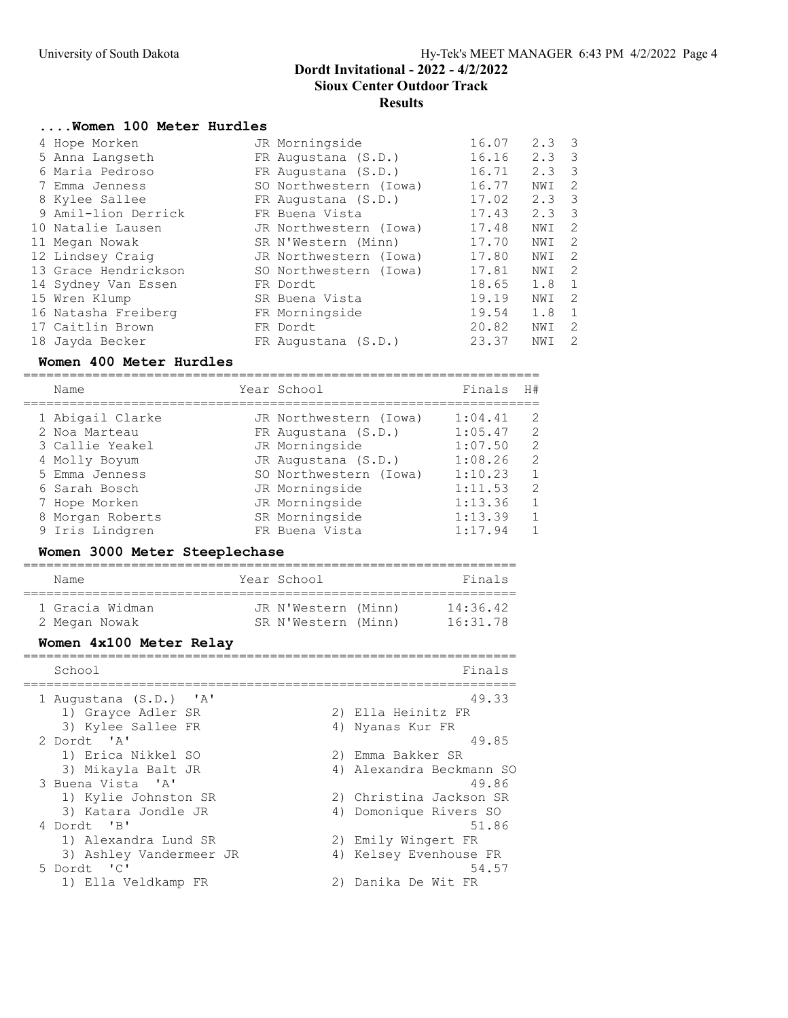### ....Women 100 Meter Hurdles

|  | 4 Hope Morken        | JR Morningside         | 16.07 | $2.3 \quad 3$ |                            |
|--|----------------------|------------------------|-------|---------------|----------------------------|
|  | 5 Anna Langseth      | FR Augustana (S.D.)    | 16.16 | $2.3 \quad 3$ |                            |
|  | 6 Maria Pedroso      | FR Augustana (S.D.)    | 16.71 | $2.3 \quad 3$ |                            |
|  | 7 Emma Jenness       | SO Northwestern (Iowa) | 16.77 | NWI           | 2                          |
|  | 8 Kylee Sallee       | FR Augustana (S.D.)    | 17.02 | 2.3           | $\overline{\mathbf{3}}$    |
|  | 9 Amil-lion Derrick  | FR Buena Vista         | 17.43 | 2.3           | $\overline{\mathbf{3}}$    |
|  | 10 Natalie Lausen    | JR Northwestern (Iowa) | 17.48 | NWI           | $\overline{\phantom{0}}^2$ |
|  | 11 Megan Nowak       | SR N'Western (Minn)    | 17.70 | NWI           | -2                         |
|  | 12 Lindsey Craig     | JR Northwestern (Iowa) | 17.80 | NWI           | - 2                        |
|  | 13 Grace Hendrickson | SO Northwestern (Iowa) | 17.81 | NWI           | $\overline{2}$             |
|  | 14 Sydney Van Essen  | FR Dordt               | 18.65 | 1.8           | $\overline{1}$             |
|  | 15 Wren Klump        | SR Buena Vista         | 19.19 | NWI           | $\overline{2}$             |
|  | 16 Natasha Freiberg  | FR Morningside         | 19.54 | 1.8           | $\mathbf{1}$               |
|  | 17 Caitlin Brown     | FR Dordt               | 20.82 | NWI           | 2                          |
|  | 18 Jayda Becker      | FR Augustana (S.D.)    | 23.37 | NWI           | 2                          |
|  |                      |                        |       |               |                            |

### Women 400 Meter Hurdles

===================================================================

| Name |                                                                                                                                                                  | Finals                                                                                                                                                                                                  | H#                 |
|------|------------------------------------------------------------------------------------------------------------------------------------------------------------------|---------------------------------------------------------------------------------------------------------------------------------------------------------------------------------------------------------|--------------------|
|      |                                                                                                                                                                  |                                                                                                                                                                                                         | 2                  |
|      |                                                                                                                                                                  |                                                                                                                                                                                                         |                    |
|      |                                                                                                                                                                  |                                                                                                                                                                                                         | 2                  |
|      |                                                                                                                                                                  | 1:07.50                                                                                                                                                                                                 | 2                  |
|      |                                                                                                                                                                  | 1:08.26                                                                                                                                                                                                 | 2                  |
|      |                                                                                                                                                                  | 1:10.23                                                                                                                                                                                                 | $\mathbf{1}$       |
|      |                                                                                                                                                                  | 1:11.53                                                                                                                                                                                                 | 2                  |
|      |                                                                                                                                                                  | 1:13.36                                                                                                                                                                                                 | $\overline{1}$     |
|      |                                                                                                                                                                  | 1:13.39                                                                                                                                                                                                 | $\overline{1}$     |
|      |                                                                                                                                                                  | 1:17.94                                                                                                                                                                                                 |                    |
|      | 1 Abigail Clarke<br>2 Noa Marteau<br>3 Callie Yeakel<br>4 Molly Boyum<br>5 Emma Jenness<br>6 Sarah Bosch<br>7 Hope Morken<br>8 Morgan Roberts<br>9 Iris Lindgren | Year School<br>JR Northwestern (Iowa)<br>FR Augustana (S.D.)<br>JR Morningside<br>JR Augustana (S.D.)<br>SO Northwestern (Iowa)<br>JR Morningside<br>JR Morningside<br>SR Morningside<br>FR Buena Vista | 1:04.41<br>1:05.47 |

### Women 3000 Meter Steeplechase

| Name            | Year School         | Finals   |
|-----------------|---------------------|----------|
| 1 Gracia Widman | JR N'Western (Minn) | 14:36.42 |
| 2 Megan Nowak   | SR N'Western (Minn) | 16:31.78 |

### Women 4x100 Meter Relay

| School                  | Finals                   |
|-------------------------|--------------------------|
| 1 Augustana (S.D.) 'A'  | 49.33                    |
| 1) Grayce Adler SR      | 2) Ella Heinitz FR       |
| 3) Kylee Sallee FR      | 4) Nyanas Kur FR         |
| 2 Dordt 'A'             | 49.85                    |
| 1) Erica Nikkel SO      | 2) Emma Bakker SR        |
| 3) Mikayla Balt JR      | 4) Alexandra Beckmann SO |
| 3 Buena Vista 'A'       | 49.86                    |
| 1) Kylie Johnston SR    | 2) Christina Jackson SR  |
| 3) Katara Jondle JR     | 4) Domonique Rivers SO   |
| 4 Dordt 'B'             | 51.86                    |
| 1) Alexandra Lund SR    | 2) Emily Wingert FR      |
| 3) Ashley Vandermeer JR | 4) Kelsey Evenhouse FR   |
| 5 Dordt 'C'             | 54.57                    |
| 1) Ella Veldkamp FR     | Danika De Wit FR         |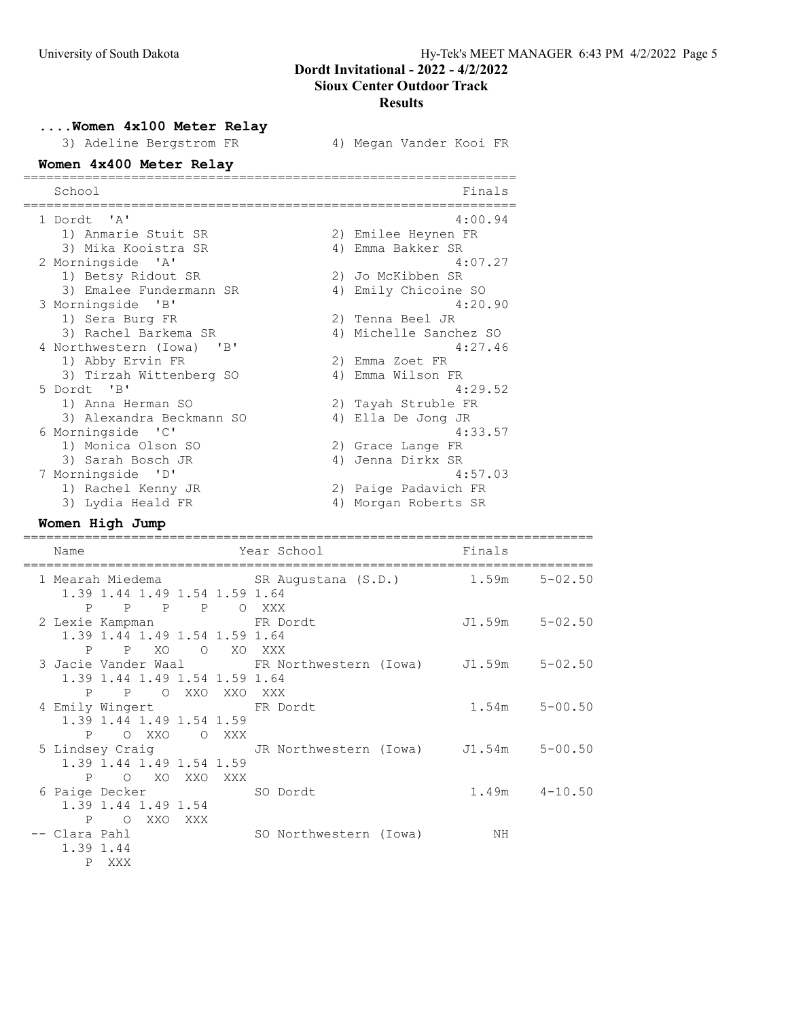....Women 4x100 Meter Relay

| 3) Adeline Bergstrom FR               | 4) Megan Vander Kooi FR |
|---------------------------------------|-------------------------|
| Women 4x400 Meter Relay               |                         |
| School                                | Finals                  |
| 1 Dordt 'A'                           | 4:00.94                 |
| 1) Anmarie Stuit SR                   | 2) Emilee Heynen FR     |
| 3) Mika Kooistra SR                   | 4) Emma Bakker SR       |
| 2 Morningside 'A'                     | 4:07.27                 |
| 1) Betsy Ridout SR                    | 2) Jo McKibben SR       |
| 3) Emalee Fundermann SR               | 4) Emily Chicoine SO    |
| 3 Morningside 'B'                     | 4:20.90                 |
| 1) Sera Burg FR                       | 2) Tenna Beel JR        |
| 3) Rachel Barkema SR                  | 4) Michelle Sanchez SO  |
| 4 Northwestern (Iowa)<br>$\mathbf{B}$ | 4:27.46                 |
| 1) Abby Ervin FR                      | 2) Emma Zoet FR         |
| 3) Tirzah Wittenberg SO               | 4) Emma Wilson FR       |
| 5 Dordt. 'B'                          | 4:29.52                 |
| 1) Anna Herman SO                     | 2) Tayah Struble FR     |
| 3) Alexandra Beckmann SO              | 4) Ella De Jong JR      |
| 6 Morningside 'C'                     | 4:33.57                 |
| 1) Monica Olson SO                    | 2) Grace Lange FR       |
| 3) Sarah Bosch JR                     | Jenna Dirkx SR<br>4)    |
| 7 Morningside 'D'                     | 4:57.03                 |
| 1) Rachel Kenny JR                    | 2) Paige Padavich FR    |
| 3) Lydia Heald FR                     | 4) Morgan Roberts SR    |

#### Women High Jump

========================================================================== Name Year School Finals ========================================================================== 1 Mearah Miedema SR Augustana (S.D.) 1.59m 5-02.50 1.39 1.44 1.49 1.54 1.59 1.64 P P P P O XXX 2 Lexie Kampman FR Dordt J1.59m 5-02.50 1.39 1.44 1.49 1.54 1.59 1.64 P P XO O XO XXX 3 Jacie Vander Waal FR Northwestern (Iowa) J1.59m 5-02.50 1.39 1.44 1.49 1.54 1.59 1.64 P P O XXO XXO XXX<br>4 Emily Wingert FR Do FR Dordt 1.54m 5-00.50 1.39 1.44 1.49 1.54 1.59 P O XXO O XXX 5 Lindsey Craig JR Northwestern (Iowa) J1.54m 5-00.50 1.39 1.44 1.49 1.54 1.59 P O XO XXO XXX 6 Paige Decker SO Dordt 1.49m 4-10.50 1.39 1.44 1.49 1.54 P O XXO XXX -- Clara Pahl SO Northwestern (Iowa) NH 1.39 1.44 P XXX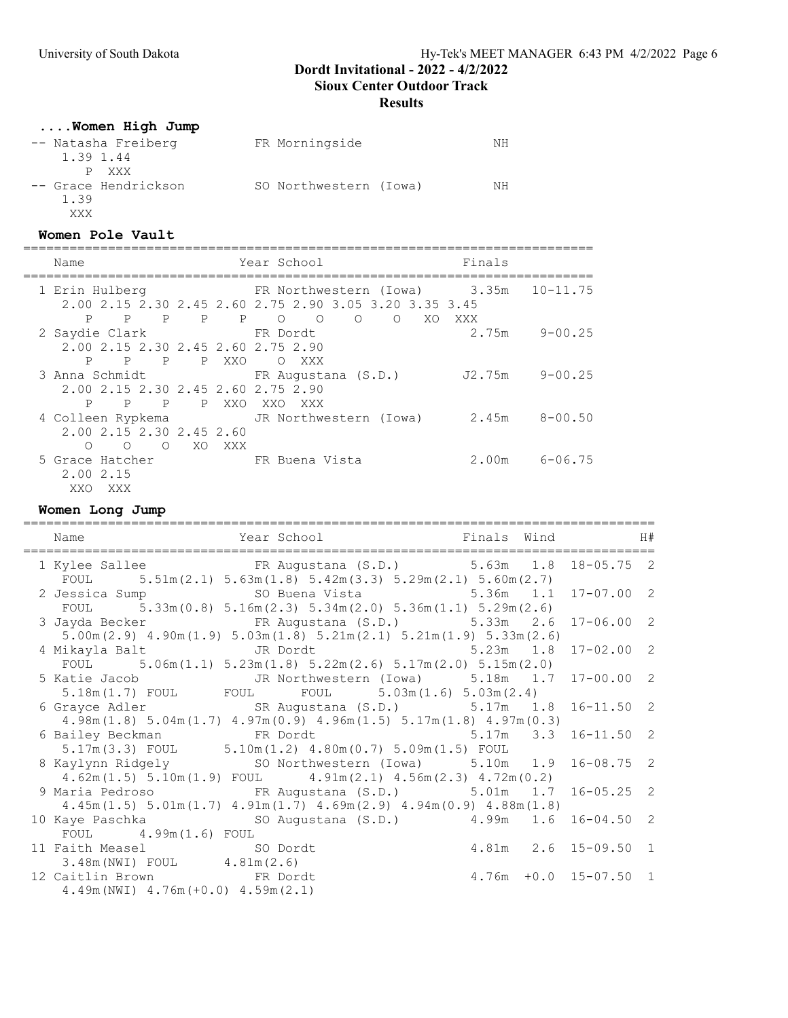### **Results**

# ....Women High Jump

| -- Natasha Freiberg  | FR Morningside         | NΗ |
|----------------------|------------------------|----|
| 1.39 1.44            |                        |    |
| P XXX                |                        |    |
| -- Grace Hendrickson | SO Northwestern (Iowa) | NН |
| 1.39                 |                        |    |
| XXX                  |                        |    |

#### Women Pole Vault

==========================================================================

| Name                                                                  | Year School                                                                            | Finals                   |
|-----------------------------------------------------------------------|----------------------------------------------------------------------------------------|--------------------------|
| 1 Erin Hulberg                                                        | FR Northwestern (Iowa) 3.35m<br>2.00 2.15 2.30 2.45 2.60 2.75 2.90 3.05 3.20 3.35 3.45 | $10 - 11.75$             |
| P P P P P O O<br>2 Saydie Clark<br>2.00 2.15 2.30 2.45 2.60 2.75 2.90 | $\circ$ $\circ$<br>XO<br>FR Dordt                                                      | XXX<br>$2.75m$ $9-00.25$ |
| P<br>$\mathbb P$<br>$\mathbf{P}$                                      | P XXO<br>O XXX<br>3 Anna Schmidt                       FR Augustana (S.D.)             | 9-00.25<br>J2.75m        |
| 2.00 2.15 2.30 2.45 2.60 2.75 2.90<br>$_{\rm P}$<br>P<br>$\mathbb{P}$ | P XXO XXO XXX<br>4 Colleen Rypkema           JR Northwestern (Iowa)       2.45m        | $8 - 00.50$              |
| 2.00 2.15 2.30 2.45 2.60<br>O XO<br>$\Omega$<br>∩<br>5 Grace Hatcher  | XXX<br>ER Buena Vista                                                                  | $2.00m$ 6-06.75          |
| 2.00 2.15<br>XXO XXX                                                  |                                                                                        |                          |

Women Long Jump

| Year School <a> Finals Wind<br/> <math display="inline">\quad</math> H#<br/>Name<br/>-----------------------</a>                                                      |  |                            |  |
|-----------------------------------------------------------------------------------------------------------------------------------------------------------------------|--|----------------------------|--|
| 1 Kylee Sallee FR Augustana (S.D.) 5.63m 1.8 18-05.75 2<br>FOUL $5.51 \text{m} (2.1) 5.63 \text{m} (1.8) 5.42 \text{m} (3.3) 5.29 \text{m} (2.1) 5.60 \text{m} (2.7)$ |  |                            |  |
| 2 Jessica Sump 5.36m 1.1 17-07.00 2                                                                                                                                   |  |                            |  |
| FOUL $5.33\text{m}(0.8)$ $5.16\text{m}(2.3)$ $5.34\text{m}(2.0)$ $5.36\text{m}(1.1)$ $5.29\text{m}(2.6)$                                                              |  |                            |  |
| 3 Jayda Becker FR Augustana (S.D.) 5.33m 2.6 17-06.00 2                                                                                                               |  |                            |  |
| $5.00$ m $(2.9)$ $4.90$ m $(1.9)$ $5.03$ m $(1.8)$ $5.21$ m $(2.1)$ $5.21$ m $(1.9)$ $5.33$ m $(2.6)$                                                                 |  |                            |  |
| 4 Mikayla Balt           JR Dordt               5.23m   1.8   17-02.00   2                                                                                            |  |                            |  |
| FOUL $5.06m(1.1) 5.23m(1.8) 5.22m(2.6) 5.17m(2.0) 5.15m(2.0)$                                                                                                         |  |                            |  |
| 5 Katie Jacob         JR Northwestern (Iowa)     5.18m   1.7   17-00.00   2                                                                                           |  |                            |  |
| 5.18m(1.7) FOUL FOUL FOUL 5.03m(1.6) 5.03m(2.4)                                                                                                                       |  |                            |  |
| 6 Grayce Adler SR Augustana (S.D.) 5.17m 1.8 16-11.50 2                                                                                                               |  |                            |  |
| $4.98m(1.8)$ $5.04m(1.7)$ $4.97m(0.9)$ $4.96m(1.5)$ $5.17m(1.8)$ $4.97m(0.3)$                                                                                         |  |                            |  |
| 6 Bailey Beckman FR Dordt 5.17m 3.3 16-11.50 2                                                                                                                        |  |                            |  |
| $5.17m(3.3)$ FOUL $5.10m(1.2)$ $4.80m(0.7)$ $5.09m(1.5)$ FOUL                                                                                                         |  |                            |  |
| 8 Kaylynn Ridgely SO Northwestern (Iowa) 5.10m 1.9 16-08.75 2                                                                                                         |  |                            |  |
| $4.62$ m $(1.5)$ $5.10$ m $(1.9)$ FOUL $4.91$ m $(2.1)$ $4.56$ m $(2.3)$ $4.72$ m $(0.2)$                                                                             |  |                            |  |
| 9 Maria Pedroso FR Augustana (S.D.) 5.01m 1.7 16-05.25 2                                                                                                              |  |                            |  |
| $4.45m(1.5)$ $5.01m(1.7)$ $4.91m(1.7)$ $4.69m(2.9)$ $4.94m(0.9)$ $4.88m(1.8)$                                                                                         |  |                            |  |
| 10 Kaye Paschka (S.D.) 4.99m 1.6 16-04.50 2                                                                                                                           |  |                            |  |
| FOUL 4.99m (1.6) FOUL                                                                                                                                                 |  |                            |  |
| 4.81m 2.6 15-09.50 1<br>11 Faith Measel SO Dordt                                                                                                                      |  |                            |  |
| $3.48m(NWI)$ FOUL $4.81m(2.6)$                                                                                                                                        |  |                            |  |
| 12 Caitlin Brown FR Dordt                                                                                                                                             |  | $4.76m + 0.0 15 - 07.50 1$ |  |
| $4.49m(NWI)$ $4.76m(+0.0)$ $4.59m(2.1)$                                                                                                                               |  |                            |  |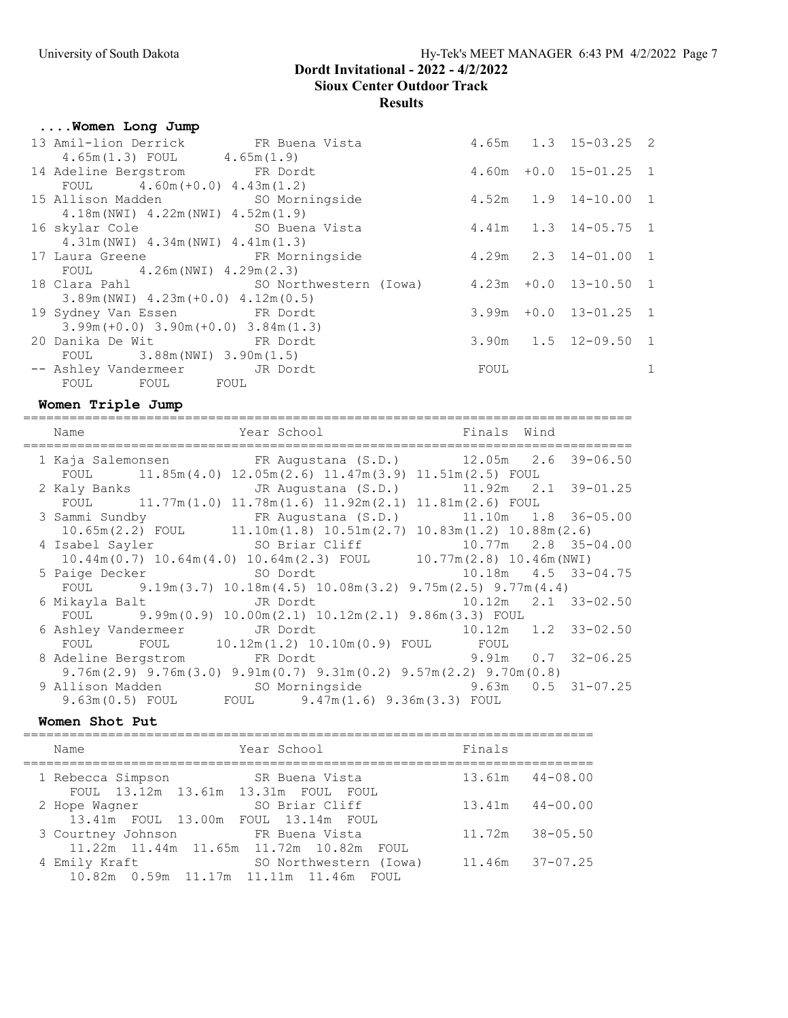# University of South Dakota Hy-Tek's MEET MANAGER 6:43 PM 4/2/2022 Page 7

# Dordt Invitational - 2022 - 4/2/2022 Sioux Center Outdoor Track Results

# ....Women Long Jump

|  |                                                                                                                                                                                                                                                                                                                                                                                                                                                                                                                                                                                      |             | 1                                                                                                                                                                                                                                   |
|--|--------------------------------------------------------------------------------------------------------------------------------------------------------------------------------------------------------------------------------------------------------------------------------------------------------------------------------------------------------------------------------------------------------------------------------------------------------------------------------------------------------------------------------------------------------------------------------------|-------------|-------------------------------------------------------------------------------------------------------------------------------------------------------------------------------------------------------------------------------------|
|  |                                                                                                                                                                                                                                                                                                                                                                                                                                                                                                                                                                                      |             |                                                                                                                                                                                                                                     |
|  | 13 Amil-lion Derrick FR Buena Vista<br>$4.65m(1.3)$ FOUL $4.65m(1.9)$<br>14 Adeline Bergstrom FR Dordt<br>FOUL $4.60m (+0.0) 4.43m (1.2)$<br>15 Allison Madden SO Morningside<br>$4.18m(NWI)$ $4.22m(NWI)$ $4.52m(1.9)$<br>$4.31m(NWI)$ $4.34m(NWI)$ $4.41m(1.3)$<br>17 Laura Greene FR Morningside<br>FOUL 4.26m (NWI) $4.29$ m (2.3)<br>$3.89m(NWI)$ 4.23m (+0.0) 4.12m (0.5)<br>19 Sydney Van Essen FR Dordt<br>$3.99m (+0.0)$ $3.90m (+0.0)$ $3.84m (1.3)$<br>20 Danika De Wit Cord FR Dordt<br>FOUL 3.88m (NWI) $3.90m(1.5)$<br>-- Ashley Vandermeer JR Dordt<br>FOUL FOUL FOUL | <b>EOUL</b> | $4.65m$ $1.3$ $15-03.25$ 2<br>$4.60m + 0.0$ $15-01.25$ 1<br>4.52m  1.9  14-10.00  1<br>16 skylar Cole 50 Buena Vista 50 81 4.41m 1.3 14-05.75 1<br>$4.29m$ $2.3$ $14-01.00$ 1<br>$3.99m + 0.0$ 13-01.25 1<br>$3.90m$ 1.5 12-09.50 1 |

### Women Triple Jump

| Name                                                                                                  | Year School <a> Finals Wind</a> Finals <a> Mind</a> Finals <a> Mind</a> Finals <a> Mind</a> Finals <a> Mind</a> Finals <a> Mind</a> Finals <a> Mind</a> Rind Rind Rind Rind Rind Rind Rind Rind <th></th> <th></th> |                           |                           |
|-------------------------------------------------------------------------------------------------------|---------------------------------------------------------------------------------------------------------------------------------------------------------------------------------------------------------------------|---------------------------|---------------------------|
| 1 Kaja Salemonsen FR Augustana (S.D.) 12.05m 2.6 39-06.50                                             |                                                                                                                                                                                                                     |                           |                           |
| FOUL 11.85m(4.0) 12.05m(2.6) 11.47m(3.9) 11.51m(2.5) FOUL                                             |                                                                                                                                                                                                                     |                           |                           |
| 2 Kaly Banks TR Augustana (S.D.) 11.92m 2.1 39-01.25                                                  |                                                                                                                                                                                                                     |                           |                           |
| FOUL 11.77m(1.0) 11.78m(1.6) 11.92m(2.1) 11.81m(2.6) FOUL                                             |                                                                                                                                                                                                                     |                           |                           |
| 3 Sammi Sundby FR Augustana (S.D.) 11.10m 1.8 36-05.00                                                |                                                                                                                                                                                                                     |                           |                           |
| $10.65m(2.2)$ FOUL $11.10m(1.8)$ $10.51m(2.7)$ $10.83m(1.2)$ $10.88m(2.6)$                            |                                                                                                                                                                                                                     |                           |                           |
| 4 Isabel Sayler SO Briar Cliff                                                                        |                                                                                                                                                                                                                     |                           | 10.77m  2.8  35-04.00     |
| $10.44m(0.7)$ $10.64m(4.0)$ $10.64m(2.3)$ FOUL $10.77m(2.8)$ $10.46m(NWI)$                            |                                                                                                                                                                                                                     |                           |                           |
| 5 Paige Decker 50 Dordt                                                                               |                                                                                                                                                                                                                     |                           | $10.18m$ $4.5$ $33-04.75$ |
| FOUL 9.19m (3.7) $10.18m(4.5)$ $10.08m(3.2)$ $9.75m(2.5)$ $9.77m(4.4)$                                |                                                                                                                                                                                                                     |                           |                           |
| 6 Mikayla Balt                 JR Dordt                                                               |                                                                                                                                                                                                                     | $10.12m$ $2.1$ $33-02.50$ |                           |
| FOUL 9.99m (0.9) 10.00m (2.1) 10.12m (2.1) 9.86m (3.3) FOUL                                           |                                                                                                                                                                                                                     |                           |                           |
| 6 Ashley Vandermeer JR Dordt 10.12m 1.2 33-02.50                                                      |                                                                                                                                                                                                                     |                           |                           |
| FOUL FOUL 10.12m(1.2) 10.10m(0.9) FOUL FOUL                                                           |                                                                                                                                                                                                                     |                           |                           |
| 8 Adeline Bergstrom FR Dordt                                                                          |                                                                                                                                                                                                                     | $9.91m$ 0.7 32-06.25      |                           |
| $9.76$ m $(2.9)$ $9.76$ m $(3.0)$ $9.91$ m $(0.7)$ $9.31$ m $(0.2)$ $9.57$ m $(2.2)$ $9.70$ m $(0.8)$ |                                                                                                                                                                                                                     |                           |                           |
| 9 Allison Madden SO Morningside 9.63m 0.5 31-07.25                                                    |                                                                                                                                                                                                                     |                           |                           |
| $9.63m(0.5)$ FOUL FOUL $9.47m(1.6)$ $9.36m(3.3)$ FOUL                                                 |                                                                                                                                                                                                                     |                           |                           |

### Women Shot Put

| Name                                                         | Year School                                               | Finals              |
|--------------------------------------------------------------|-----------------------------------------------------------|---------------------|
| 1 Rebecca Simpson<br>FOUL 13.12m 13.61m 13.31m FOUL FOUL     | SR Buena Vista                                            | $13.61m$ $44-08.00$ |
| 2 Hope Wagner<br>13.41m FOUL 13.00m FOUL 13.14m FOUL         | SO Briar Cliff                                            | $13.41m$ $44-00.00$ |
| 3 Courtney Johnson                                           | FR Buena Vista<br>11.22m 11.44m 11.65m 11.72m 10.82m FOUL | $11.72m$ $38-05.50$ |
| 4 Emily Kraft<br>10.82m  0.59m  11.17m  11.11m  11.46m  FOUL | SO Northwestern (Iowa)                                    | $11.46m$ $37-07.25$ |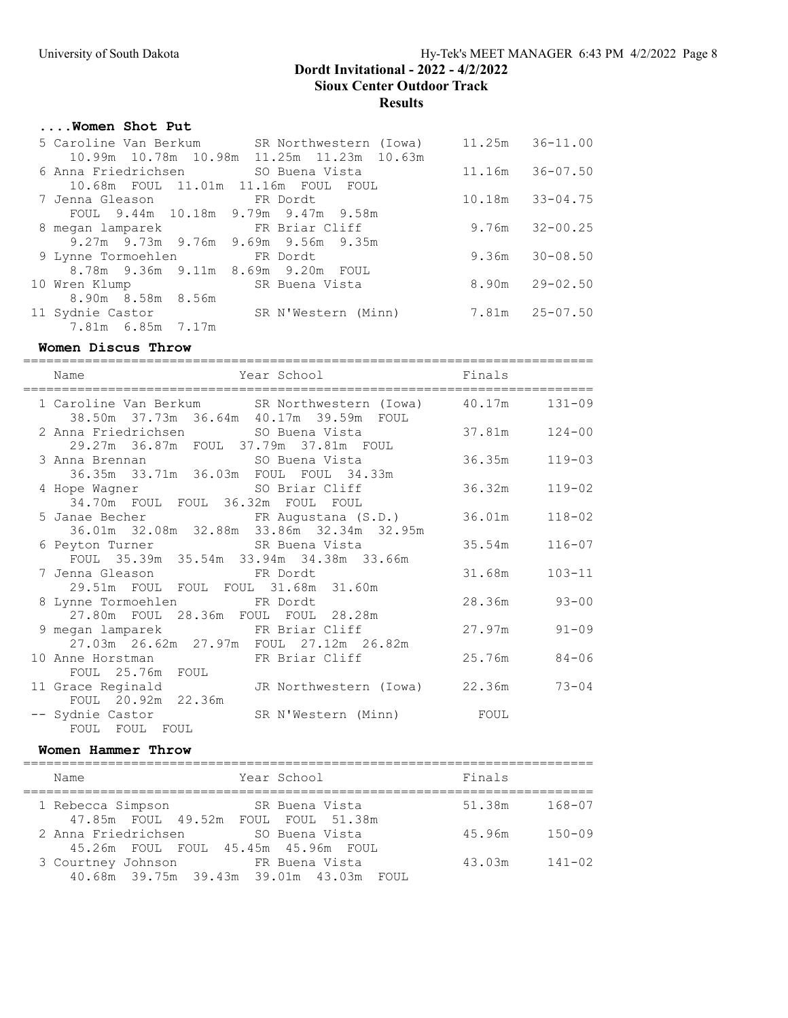### ....Women Shot Put

| 5 Caroline Van Berkum                    | SR Northwestern (Iowa)                    | 11.25m | $36 - 11.00$        |
|------------------------------------------|-------------------------------------------|--------|---------------------|
|                                          | 10.99m 10.78m 10.98m 11.25m 11.23m 10.63m |        |                     |
|                                          |                                           |        | 11.16m 36-07.50     |
| 10.68m  FOUL  11.01m  11.16m  FOUL  FOUL |                                           |        |                     |
| 7 Jenna Gleason                          | <b>Example 18 FR Dordt</b>                |        | $10.18m$ $33-04.75$ |
| FOUL 9.44m 10.18m 9.79m 9.47m 9.58m      |                                           |        |                     |
| 8 megan lamparek FR Briar Cliff          |                                           | 9.76m  | $32 - 00.25$        |
| 9.27m 9.73m 9.76m 9.69m 9.56m 9.35m      |                                           |        |                     |
| 9 Lynne Tormoehlen FR Dordt              |                                           |        | $9.36m$ $30-08.50$  |
| 8.78m 9.36m 9.11m 8.69m 9.20m FOUL       |                                           |        |                     |
| 10 Wren Klump                            | SR Buena Vista                            |        | $8.90m$ $29-02.50$  |
| 8.90m 8.58m 8.56m                        |                                           |        |                     |
| 11 Sydnie Castor                         | SR N'Western (Minn)                       |        | 7.81m 25-07.50      |
| 7.81m 6.85m 7.17m                        |                                           |        |                     |

### Women Discus Throw

========================================================================== Name **Year School** Finals ========================================================================== 1 Caroline Van Berkum SR Northwestern (Iowa) 40.17m 131-09 38.50m 37.73m 36.64m 40.17m 39.59m FOUL 2 Anna Friedrichsen SO Buena Vista 37.81m 124-00 29.27m 36.87m FOUL 37.79m 37.81m FOUL<br>3 Anna Brennan SO Buena Vista 3 Anna Brennan SO Buena Vista 36.35m 119-03 36.35m 33.71m 36.03m FOUL FOUL 34.33m 4 Hope Wagner SO Briar Cliff 36.32m 119-02 34.70m FOUL FOUL 36.32m FOUL FOUL 5 Janae Becher FR Augustana (S.D.) 36.01m 118-02 36.01m 32.08m 32.88m 33.86m 32.34m 32.95m 6 Peyton Turner SR Buena Vista 35.54m 116-07 FOUL 35.39m 35.54m 33.94m 34.38m 33.66m 7 Jenna Gleason FR Dordt 31.68m 103-11 29.51m FOUL FOUL FOUL 31.68m 31.60m 8 Lynne Tormoehlen FR Dordt 28.36m 93-00 27.80m FOUL 28.36m FOUL FOUL 28.28m 9 megan lamparek FR Briar Cliff 27.97m 91-09 27.03m 26.62m 27.97m FOUL 27.12m 26.82m 10 Anne Horstman FR Briar Cliff 25.76m 84-06 FOUL 25.76m FOUL 11 Grace Reginald JR Northwestern (Iowa) 22.36m 73-04 FOUL 20.92m 22.36m -- Sydnie Castor SR N'Western (Minn) FOUL FOUL FOUL FOUL

#### Women Hammer Throw

| Name                                                          | Year School    | Finals               |
|---------------------------------------------------------------|----------------|----------------------|
| 1 Rebecca Simpson<br>47.85m FOUL 49.52m FOUL FOUL 51.38m      | SR Buena Vista | 51.38m<br>168-07     |
| 2 Anna Friedrichsen<br>45.26m FOUL FOUL 45.45m 45.96m FOUL    | SO Buena Vista | $150 - 09$<br>45.96m |
| 3 Courtney Johnson<br>40.68m 39.75m 39.43m 39.01m 43.03m FOUL | FR Buena Vista | $141 - 02$<br>43.03m |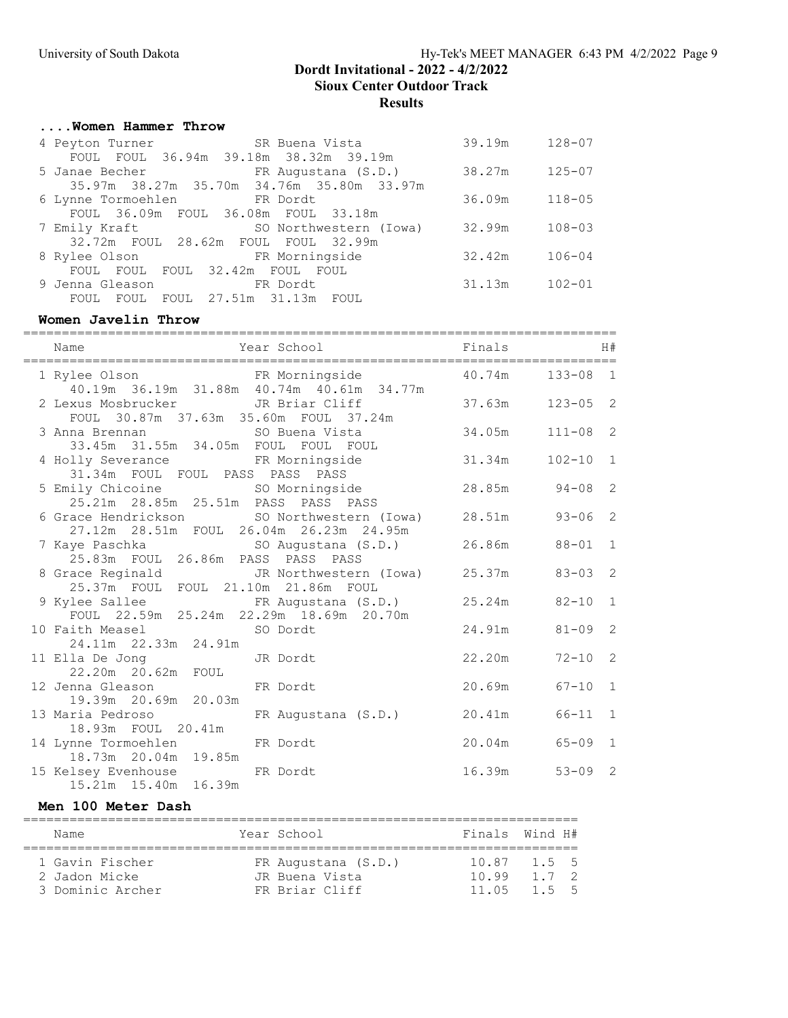# ....Women Hammer Throw

| 4 Peyton Turner                     | SR Buena Vista                            | 39.19m | $128 - 07$ |
|-------------------------------------|-------------------------------------------|--------|------------|
|                                     | FOUL FOUL 36.94m 39.18m 38.32m 39.19m     |        |            |
|                                     | 5 Janae Becher TR Augustana (S.D.)        | 38.27m | $125 - 07$ |
|                                     | 35.97m 38.27m 35.70m 34.76m 35.80m 33.97m |        |            |
| 6 Lynne Tormoehlen FR Dordt         |                                           | 36.09m | $118 - 05$ |
| FOUL 36.09m FOUL 36.08m FOUL 33.18m |                                           |        |            |
| 7 Emily Kraft                       | SO Northwestern (Iowa)                    | 32.99m | $108 - 03$ |
| 32.72m FOUL 28.62m FOUL FOUL 32.99m |                                           |        |            |
| 8 Rylee Olson FR Morningside        |                                           | 32.42m | $106 - 04$ |
| FOUL FOUL FOUL 32.42m FOUL FOUL     |                                           |        |            |
| 9 Jenna Gleason                     | ER Dordt                                  | 31.13m | $102 - 01$ |
| FOUL<br>FOUL                        | FOUL 27.51m 31.13m FOUL                   |        |            |

### Women Javelin Throw

| Year School Finals<br>Name                                                                                |                     |              | H#             |
|-----------------------------------------------------------------------------------------------------------|---------------------|--------------|----------------|
| 1 Rylee Olson FR Morningside 40.19m 36.19m 31.88m 40.74m 40.61m 34.77m 40.19m 34.17m                      |                     | $133 - 08$ 1 |                |
| 2 Lexus Mosbrucker<br>JR Briar Cliff 37.63m<br>FOUL 30.87m 37.63m 35.60m FOUL 37.24m                      |                     | $123 - 05$ 2 |                |
| 3 Anna Brennan<br>33.45m 31.55m 34.05m FOUL FOUL FOUL                                                     | $34.05m$ $111-08$ 2 |              |                |
| 4 Holly Severance FR Morningside<br>31.34m FOUL FOUL PASS PASS PASS                                       | 31.34m              | $102 - 10$ 1 |                |
| 5 Emily Chicoine SO Morningside 28.85m 94-08 2<br>25.21m  28.85m  25.51m  PASS  PASS  PASS                |                     |              |                |
| 6 Grace Hendrickson 50 Northwestern (Iowa) 28.51m 93-06 2<br>27.12m  28.51m  FOUL  26.04m  26.23m  24.95m |                     |              |                |
| 7 Kaye Paschka (S.D.) 26.86m 88-01 1<br>25.83m FOUL 26.86m PASS PASS PASS                                 |                     |              |                |
| 8 Grace Reginald 10 JR Northwestern (Iowa) 25.37m 83-03 2<br>25.37m FOUL FOUL 21.10m 21.86m FOUL          |                     |              |                |
| 9 Kylee Sallee FR Augustana (S.D.) 25.24m 82-10<br>FOUL 22.59m 25.24m 22.29m 18.69m 20.70m                |                     |              | $\overline{1}$ |
| 10 Faith Measel SO Dordt<br>24.11m  22.33m  24.91m                                                        | 24.91m 81-09 2      |              |                |
| 11 Ella De Jong JR Dordt<br>22.20m 20.62m FOUL                                                            | 22.20m 72-10 2      |              |                |
| 12 Jenna Gleason FR Dordt<br>19.39m 20.69m 20.03m                                                         | 20.69m 67-10 1      |              |                |
| 13 Maria Pedroso KR Augustana (S.D.) 20.41m 66-11<br>18.93m FOUL 20.41m                                   |                     |              | $\mathbf{1}$   |
| 14 Lynne Tormoehlen FR Dordt<br>18.73m  20.04m  19.85m                                                    | $20.04m$ $65-09$ 1  |              |                |
| 15 Kelsey Evenhouse FR Dordt<br>15.21m  15.40m  16.39m                                                    | 16.39m              | $53 - 09$ 2  |                |

# Men 100 Meter Dash

|  | Name             |  | Year School         | Finals Wind H# |       |  |
|--|------------------|--|---------------------|----------------|-------|--|
|  |                  |  |                     |                |       |  |
|  | 1 Gavin Fischer  |  | FR Augustana (S.D.) | 10.87 1.5 5    |       |  |
|  | 2 Jadon Micke    |  | JR Buena Vista      | 1099           | 1 7 2 |  |
|  | 3 Dominic Archer |  | FR Briar Cliff      | 11 05          | 155   |  |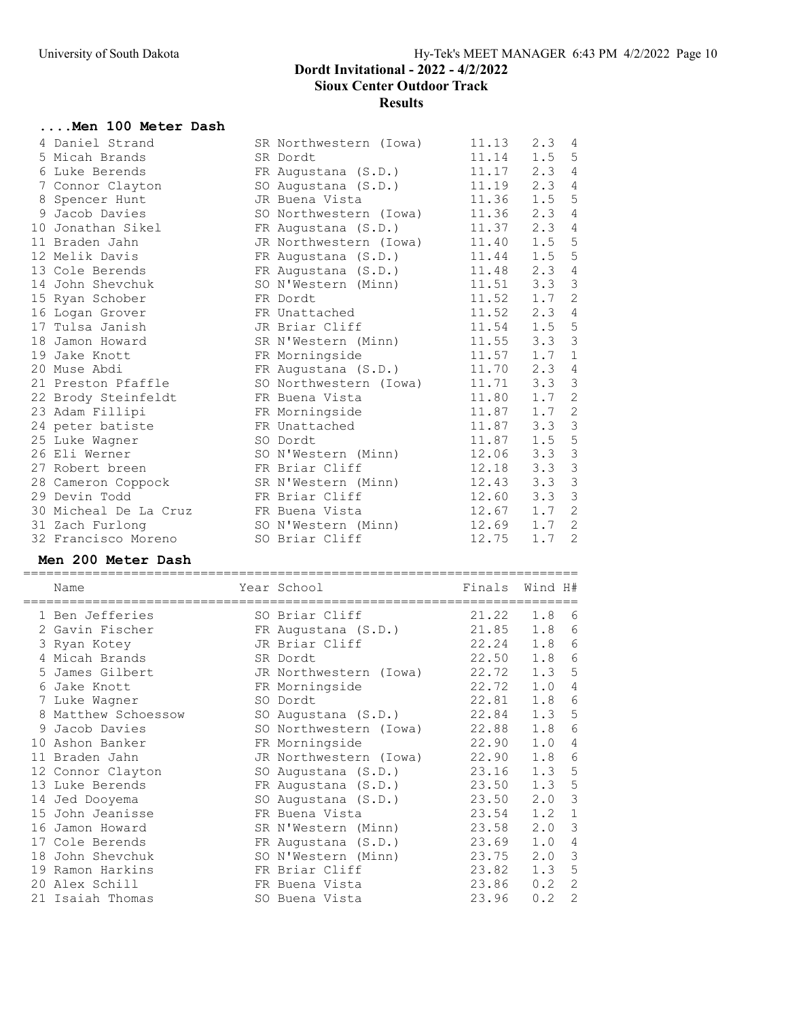#### ....Men 100 Meter Dash

|  | 4 Daniel Strand       | SR Northwestern (Iowa) | 11.13 | 2.3           | 4               |
|--|-----------------------|------------------------|-------|---------------|-----------------|
|  | 5 Micah Brands        | SR Dordt               | 11.14 | $1.5 \quad 5$ |                 |
|  | 6 Luke Berends        | FR Augustana (S.D.)    | 11.17 | 2.3           | 4               |
|  | 7 Connor Clayton      | SO Augustana (S.D.)    | 11.19 | 2.3           | 4               |
|  | 8 Spencer Hunt        | JR Buena Vista         | 11.36 | 1.5           | 5               |
|  | 9 Jacob Davies        | SO Northwestern (Iowa) | 11.36 | 2.3           | 4               |
|  | 10 Jonathan Sikel     | FR Augustana (S.D.)    | 11.37 | 2.3           | 4               |
|  | 11 Braden Jahn        | JR Northwestern (Iowa) | 11.40 | 1.5           | 5               |
|  | 12 Melik Davis        | FR Augustana (S.D.)    | 11.44 | 1.5           | $5\phantom{.0}$ |
|  | 13 Cole Berends       | FR Augustana (S.D.)    | 11.48 | 2.3           | 4               |
|  | 14 John Shevchuk      | SO N'Western (Minn)    | 11.51 | 3.3           | 3               |
|  | 15 Ryan Schober       | FR Dordt               | 11.52 | 1.7           | 2               |
|  | 16 Logan Grover       | FR Unattached          | 11.52 | 2.3           | $\overline{4}$  |
|  | 17 Tulsa Janish       | JR Briar Cliff         | 11.54 | 1.5           | $\overline{5}$  |
|  | 18 Jamon Howard       | SR N'Western (Minn)    | 11.55 | 3.3           | $\mathcal{E}$   |
|  | 19 Jake Knott         | FR Morningside         | 11.57 | 1.7           | $\mathbf{1}$    |
|  | 20 Muse Abdi          | FR Augustana (S.D.)    | 11.70 | 2.3           | 4               |
|  | 21 Preston Pfaffle    | SO Northwestern (Iowa) | 11.71 | 3.3           | 3               |
|  | 22 Brody Steinfeldt   | FR Buena Vista         | 11.80 | $1.7-2$       |                 |
|  | 23 Adam Fillipi       | FR Morningside         | 11.87 | 1.7           | 2               |
|  | 24 peter batiste      | FR Unattached          | 11.87 | 3.3           | 3               |
|  | 25 Luke Wagner        | SO Dordt               | 11.87 | 1.5           | $\mathsf S$     |
|  | 26 Eli Werner         | SO N'Western (Minn)    | 12.06 | 3.3           | 3               |
|  | 27 Robert breen       | FR Briar Cliff         | 12.18 | 3.3           | $\mathcal{S}$   |
|  | 28 Cameron Coppock    | SR N'Western (Minn)    | 12.43 | 3.3           | $\mathcal{S}$   |
|  | 29 Devin Todd         | FR Briar Cliff         | 12.60 | 3.3           | $\mathfrak{Z}$  |
|  | 30 Micheal De La Cruz | FR Buena Vista         | 12.67 | 1.7           | 2               |
|  | 31 Zach Furlong       | SO N'Western (Minn)    | 12.69 | 1.7           | 2               |
|  | 32 Francisco Moreno   | SO Briar Cliff         | 12.75 | 1.7           | 2               |
|  |                       |                        |       |               |                 |

### Men 200 Meter Dash

|    | Name              | Year School            | Finals | Wind H# |                |
|----|-------------------|------------------------|--------|---------|----------------|
|    | 1 Ben Jefferies   | SO Briar Cliff         | 21.22  | 1.8     | 6              |
|    | 2 Gavin Fischer   | FR Augustana (S.D.)    | 21.85  | 1.8     | 6              |
|    | 3 Ryan Kotey      | JR Briar Cliff         | 22.24  | 1.8     | 6              |
|    | 4 Micah Brands    | SR Dordt               | 22.50  | 1.8     | 6              |
| 5. | James Gilbert     | JR Northwestern (Iowa) | 22.72  | 1.3     | 5              |
| 6  | Jake Knott        | FR Morningside         | 22.72  | 1.0     | 4              |
|    | 7 Luke Wagner     | SO Dordt               | 22.81  | 1.8     | 6              |
| 8  | Matthew Schoessow | SO Augustana (S.D.)    | 22.84  | 1.3     | 5              |
| 9  | Jacob Davies      | SO Northwestern (Iowa) | 22.88  | 1.8     | 6              |
| 10 | Ashon Banker      | FR Morningside         | 22.90  | 1.0     | 4              |
|    | 11 Braden Jahn    | JR Northwestern (Iowa) | 22.90  | 1.8     | 6              |
|    | 12 Connor Clayton | SO Augustana (S.D.)    | 23.16  | 1.3     | 5              |
|    | 13 Luke Berends   | FR Augustana (S.D.)    | 23.50  | 1.3     | 5              |
|    | 14 Jed Dooyema    | SO Augustana (S.D.)    | 23.50  | 2.0     | 3              |
|    | 15 John Jeanisse  | FR Buena Vista         | 23.54  | 1.2     | $\mathbf 1$    |
| 16 | Jamon Howard      | SR N'Western (Minn)    | 23.58  | 2.0     | 3              |
|    | 17 Cole Berends   | FR Augustana (S.D.)    | 23.69  | 1.0     | 4              |
|    | 18 John Shevchuk  | SO N'Western (Minn)    | 23.75  | 2.0     | 3              |
| 19 | Ramon Harkins     | FR Briar Cliff         | 23.82  | 1.3     | 5              |
|    | 20 Alex Schill    | FR Buena Vista         | 23.86  | 0.2     | 2              |
|    | 21 Isaiah Thomas  | SO Buena Vista         | 23.96  | 0.2     | $\overline{2}$ |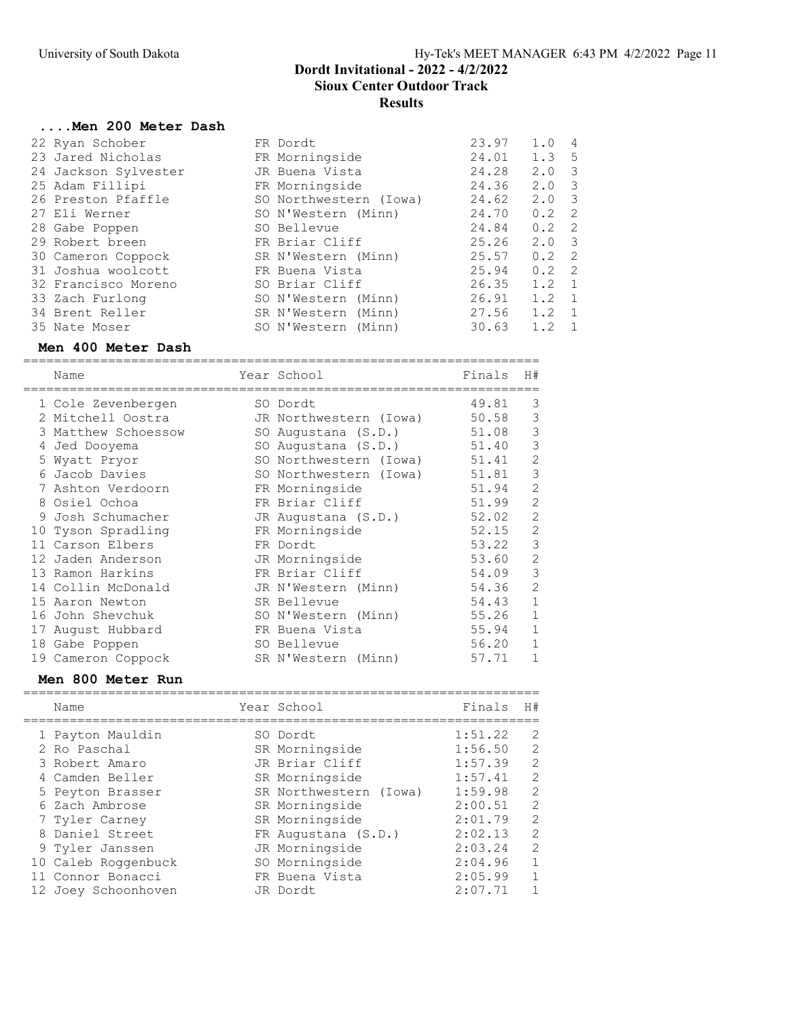#### ....Men 200 Meter Dash

|  | 22 Ryan Schober      | FR Dordt               | 23.97 | 1.0           | 4                        |
|--|----------------------|------------------------|-------|---------------|--------------------------|
|  | 23 Jared Nicholas    | FR Morningside         | 24.01 | $1.3 \quad 5$ |                          |
|  | 24 Jackson Sylvester | JR Buena Vista         | 24.28 | 2.0           | $\overline{\mathbf{3}}$  |
|  | 25 Adam Fillipi      | FR Morningside         | 24.36 | $2.0 \, 3$    |                          |
|  | 26 Preston Pfaffle   | SO Northwestern (Iowa) | 24.62 | 2.0           | $\overline{\phantom{a}}$ |
|  | 27 Eli Werner        | SO N'Western (Minn)    | 24.70 | 0.2           | $\overline{2}$           |
|  | 28 Gabe Poppen       | SO Bellevue            | 24.84 | $0.2 \quad 2$ |                          |
|  | 29 Robert breen      | FR Briar Cliff         | 25.26 | $2.0 \, 3$    |                          |
|  | 30 Cameron Coppock   | SR N'Western (Minn)    | 25.57 | $0.2 \quad 2$ |                          |
|  | 31 Joshua woolcott   | FR Buena Vista         | 25.94 | $0.2 \quad 2$ |                          |
|  | 32 Francisco Moreno  | SO Briar Cliff         | 26.35 | 1.2           | $\overline{1}$           |
|  | 33 Zach Furlong      | SO N'Western (Minn)    | 26.91 | 1.2           | $\overline{1}$           |
|  | 34 Brent Reller      | SR N'Western (Minn)    | 27.56 | $1.2 \quad 1$ |                          |
|  | 35 Nate Moser        | SO N'Western (Minn)    | 30.63 | 1.2           | $\overline{1}$           |
|  |                      |                        |       |               |                          |

### Men 400 Meter Dash

=================================================================== Name  $Year School$  Finals H# =================================================================== 1 Cole Zevenbergen SO Dordt 49.81 3 2 Mitchell Oostra JR Northwestern (Iowa) 50.58 3 3 Matthew Schoessow SO Augustana (S.D.) 51.08 3 4 Jed Dooyema SO Augustana (S.D.) 51.40 3 5 Wyatt Pryor SO Northwestern (Iowa) 51.41 2 6 Jacob Davies SO Northwestern (Iowa) 51.81 3 7 Ashton Verdoorn FR Morningside 51.94 2 8 Osiel Ochoa FR Briar Cliff 51.99 2 9 Josh Schumacher JR Augustana (S.D.) 52.02 2 10 Tyson Spradling FR Morningside 52.15 2 11 Carson Elbers FR Dordt 53.22 3 12 Jaden Anderson JR Morningside 53.60 2 13 Ramon Harkins **FR Briar Cliff** 54.09 3 14 Collin McDonald JR N'Western (Minn) 54.36 2 15 Aaron Newton SR Bellevue 54.43 1 16 John Shevchuk SO N'Western (Minn) 55.26 1 17 August Hubbard FR Buena Vista 55.94 1 18 Gabe Poppen SO Bellevue 56.20 1 19 Cameron Coppock SR N'Western (Minn) 57.71 1

### Men 800 Meter Run

|  | Name                | Year School            | Finals  | H#             |
|--|---------------------|------------------------|---------|----------------|
|  | 1 Payton Mauldin    | SO Dordt               | 1:51.22 | 2              |
|  | 2 Ro Paschal        | SR Morningside         | 1:56.50 | 2              |
|  | 3 Robert Amaro      | JR Briar Cliff         | 1:57.39 | 2              |
|  | 4 Camden Beller     | SR Morningside         | 1:57.41 | 2              |
|  | 5 Peyton Brasser    | SR Northwestern (Iowa) | 1:59.98 | 2              |
|  | 6 Zach Ambrose      | SR Morningside         | 2:00.51 | 2              |
|  | 7 Tyler Carney      | SR Morningside         | 2:01.79 | 2              |
|  | 8 Daniel Street     | FR Augustana (S.D.)    | 2:02.13 | 2              |
|  | 9 Tyler Janssen     | JR Morningside         | 2:03.24 | 2              |
|  | 10 Caleb Roggenbuck | SO Morningside         | 2:04.96 | $\overline{1}$ |
|  | 11 Connor Bonacci   | FR Buena Vista         | 2:05.99 | $\mathbf{1}$   |
|  | 12 Joey Schoonhoven | JR Dordt               | 2:07.71 |                |
|  |                     |                        |         |                |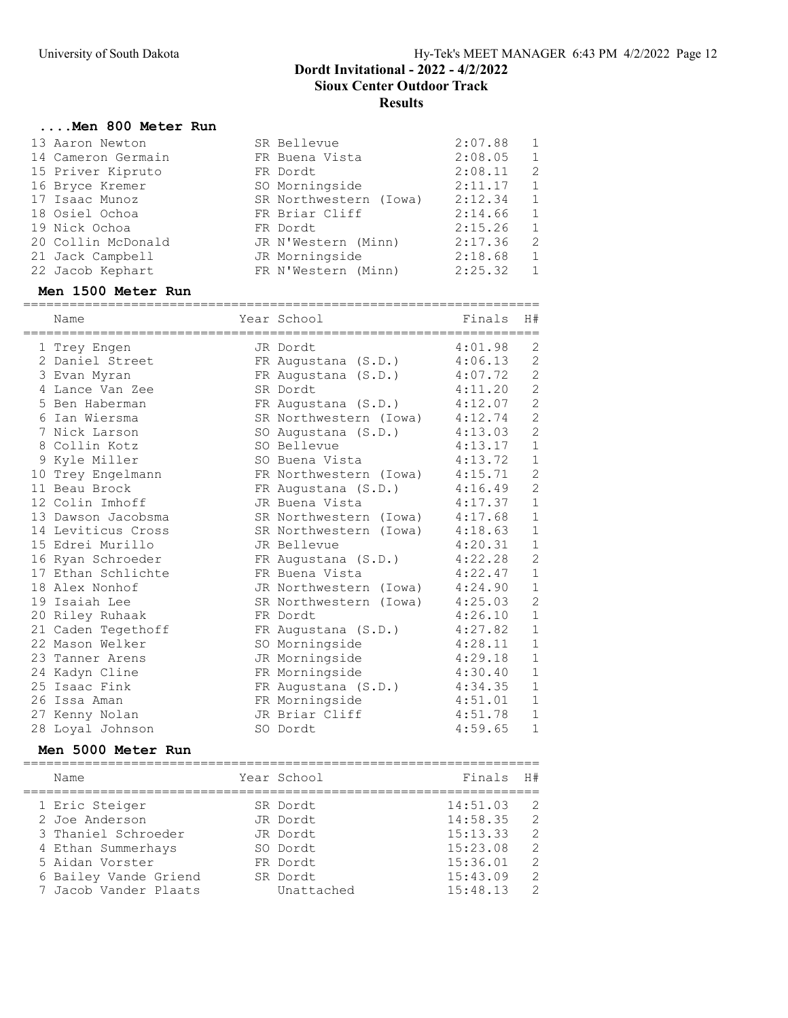#### ....Men 800 Meter Run

| 13 Aaron Newton    | SR Bellevue            | 2:07.88 | 1 |
|--------------------|------------------------|---------|---|
| 14 Cameron Germain | FR Buena Vista         | 2:08.05 | 1 |
| 15 Priver Kipruto  | FR Dordt               | 2:08.11 | 2 |
| 16 Bryce Kremer    | SO Morningside         | 2:11.17 | 1 |
| 17 Isaac Munoz     | SR Northwestern (Iowa) | 2:12.34 | 1 |
| 18 Osiel Ochoa     | FR Briar Cliff         | 2:14.66 | 1 |
| 19 Nick Ochoa      | FR Dordt               | 2:15.26 | 1 |
| 20 Collin McDonald | JR N'Western (Minn)    | 2:17.36 | 2 |
| 21 Jack Campbell   | JR Morningside         | 2:18.68 | 1 |
| 22 Jacob Kephart   | FR N'Western (Minn)    | 2:25.32 | 1 |

### Men 1500 Meter Run

|    | Name<br>:================= | Year School            | Finals  | H#             |
|----|----------------------------|------------------------|---------|----------------|
|    | Trey Engen                 | JR Dordt               | 4:01.98 | 2              |
|    | 2 Daniel Street            | FR Augustana (S.D.)    | 4:06.13 | $\overline{c}$ |
|    | 3 Evan Myran               | FR Augustana (S.D.)    | 4:07.72 | $\overline{c}$ |
|    | 4 Lance Van Zee            | SR Dordt               | 4:11.20 | $\overline{c}$ |
|    | 5 Ben Haberman             | FR Augustana (S.D.)    | 4:12.07 | $\overline{c}$ |
| 6  | Ian Wiersma                | SR Northwestern (Iowa) | 4:12.74 | $\overline{c}$ |
|    | 7 Nick Larson              | SO Augustana (S.D.)    | 4:13.03 | $\overline{c}$ |
| 8  | Collin Kotz                | SO Bellevue            | 4:13.17 | $\mathbf{1}$   |
|    | 9 Kyle Miller              | SO Buena Vista         | 4:13.72 | $\mathbf{1}$   |
|    | 10 Trey Engelmann          | FR Northwestern (Iowa) | 4:15.71 | $\overline{c}$ |
|    | 11 Beau Brock              | FR Augustana (S.D.)    | 4:16.49 | $\overline{c}$ |
|    | 12 Colin Imhoff            | JR Buena Vista         | 4:17.37 | $\mathbf{1}$   |
|    | 13 Dawson Jacobsma         | SR Northwestern (Iowa) | 4:17.68 | $\mathbf{1}$   |
|    | 14 Leviticus Cross         | SR Northwestern (Iowa) | 4:18.63 | $\mathbf{1}$   |
|    | 15 Edrei Murillo           | JR Bellevue            | 4:20.31 | $\mathbf{1}$   |
|    | 16 Ryan Schroeder          | FR Augustana (S.D.)    | 4:22.28 | $\overline{c}$ |
|    | 17 Ethan Schlichte         | FR Buena Vista         | 4:22.47 | $1\,$          |
|    | 18 Alex Nonhof             | JR Northwestern (Iowa) | 4:24.90 | $\mathbf{1}$   |
|    | 19 Isaiah Lee              | SR Northwestern (Iowa) | 4:25.03 | $\overline{c}$ |
|    | 20 Riley Ruhaak            | FR Dordt               | 4:26.10 | $\mathbf{1}$   |
|    | 21 Caden Tegethoff         | FR Augustana (S.D.)    | 4:27.82 | $\mathbf{1}$   |
|    | 22 Mason Welker            | SO Morningside         | 4:28.11 | $1\,$          |
|    | 23 Tanner Arens            | JR Morningside         | 4:29.18 | $\mathbf{1}$   |
|    | 24 Kadyn Cline             | FR Morningside         | 4:30.40 | $1\,$          |
|    | 25 Isaac Fink              | FR Augustana (S.D.)    | 4:34.35 | $1\,$          |
| 26 | Issa Aman                  | FR Morningside         | 4:51.01 | $\mathbf{1}$   |
|    | 27 Kenny Nolan             | JR Briar Cliff         | 4:51.78 | $\mathbf{1}$   |
|    | 28 Loyal Johnson           | SO Dordt               | 4:59.65 | $\mathbf{1}$   |

### Men 5000 Meter Run

| Name                  | Year School | Finals   | H #           |
|-----------------------|-------------|----------|---------------|
| 1 Eric Steiger        | SR Dordt    | 14:51.03 | -2            |
| 2 Joe Anderson        | JR Dordt    | 14:58.35 | 2             |
| 3 Thaniel Schroeder   | JR Dordt    | 15:13.33 | $\mathcal{L}$ |
| 4 Ethan Summerhays    | SO Dordt    | 15:23.08 | 2             |
| 5 Aidan Vorster       | FR Dordt    | 15:36.01 | 2             |
| 6 Bailey Vande Griend | SR Dordt    | 15:43.09 | 2             |
| 7 Jacob Vander Plaats | Unattached  | 15:48.13 | $\mathcal{L}$ |
|                       |             |          |               |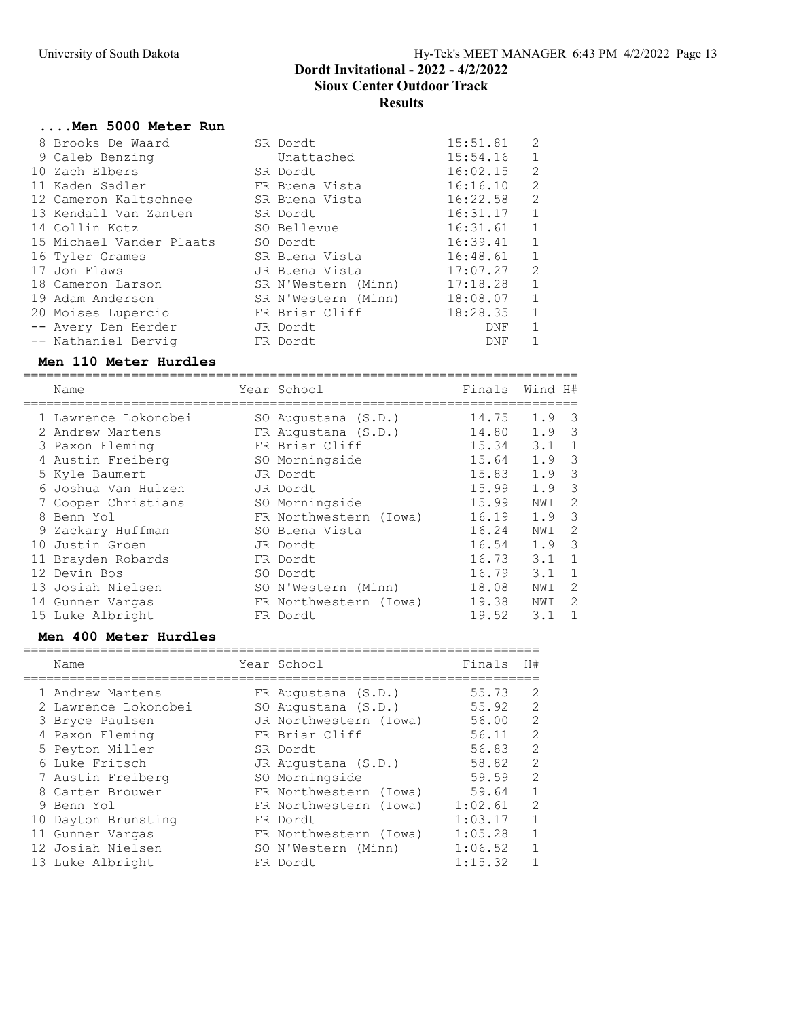### ....Men 5000 Meter Run

|                                                                                                                                                                                                                                                                                                                           |            | 15:51.81                                                                                                                                                                                                                    | 2             |
|---------------------------------------------------------------------------------------------------------------------------------------------------------------------------------------------------------------------------------------------------------------------------------------------------------------------------|------------|-----------------------------------------------------------------------------------------------------------------------------------------------------------------------------------------------------------------------------|---------------|
|                                                                                                                                                                                                                                                                                                                           | Unattached | 15:54.16                                                                                                                                                                                                                    |               |
|                                                                                                                                                                                                                                                                                                                           |            | 16:02.15                                                                                                                                                                                                                    | 2             |
|                                                                                                                                                                                                                                                                                                                           |            | 16:16.10                                                                                                                                                                                                                    | 2             |
|                                                                                                                                                                                                                                                                                                                           |            | 16:22.58                                                                                                                                                                                                                    | 2             |
|                                                                                                                                                                                                                                                                                                                           |            | 16:31.17                                                                                                                                                                                                                    | $\mathbf{1}$  |
|                                                                                                                                                                                                                                                                                                                           |            | 16:31.61                                                                                                                                                                                                                    | 1             |
|                                                                                                                                                                                                                                                                                                                           |            | 16:39.41                                                                                                                                                                                                                    | 1             |
|                                                                                                                                                                                                                                                                                                                           |            | 16:48.61                                                                                                                                                                                                                    | $\mathbf{1}$  |
|                                                                                                                                                                                                                                                                                                                           |            | 17:07.27                                                                                                                                                                                                                    | $\mathcal{L}$ |
|                                                                                                                                                                                                                                                                                                                           |            | 17:18.28                                                                                                                                                                                                                    | 1             |
|                                                                                                                                                                                                                                                                                                                           |            | 18:08.07                                                                                                                                                                                                                    | $\mathbf{1}$  |
|                                                                                                                                                                                                                                                                                                                           |            | 18:28.35                                                                                                                                                                                                                    | 1             |
|                                                                                                                                                                                                                                                                                                                           |            | DNF                                                                                                                                                                                                                         |               |
|                                                                                                                                                                                                                                                                                                                           |            | DNF                                                                                                                                                                                                                         |               |
| 8 Brooks De Waard<br>9 Caleb Benzing<br>10 Zach Elbers<br>11 Kaden Sadler<br>12 Cameron Kaltschnee<br>13 Kendall Van Zanten<br>14 Collin Kotz<br>15 Michael Vander Plaats<br>16 Tyler Grames<br>17 Jon Flaws<br>18 Cameron Larson<br>19 Adam Anderson<br>20 Moises Lupercio<br>-- Avery Den Herder<br>-- Nathaniel Bervig |            | SR Dordt<br>SR Dordt<br>FR Buena Vista<br>SR Buena Vista<br>SR Dordt<br>SO Bellevue<br>SO Dordt<br>SR Buena Vista<br>JR Buena Vista<br>SR N'Western (Minn)<br>SR N'Western (Minn)<br>FR Briar Cliff<br>JR Dordt<br>FR Dordt |               |

#### Men 110 Meter Hurdles

========================================================================

| Name                 | Year School            | Finals | Wind H#       |                         |
|----------------------|------------------------|--------|---------------|-------------------------|
| 1 Lawrence Lokonobei | SO Augustana (S.D.)    | 14.75  | 1.9           | - 3                     |
| 2 Andrew Martens     | FR Augustana (S.D.)    | 14.80  | 1.9           | $\overline{\mathbf{3}}$ |
| 3 Paxon Fleming      | FR Briar Cliff         | 15.34  | 3.1           | 1                       |
| 4 Austin Freiberg    | SO Morningside         | 15.64  | $1.9 \quad 3$ |                         |
| 5 Kyle Baumert       | JR Dordt               | 15.83  | 1.9           | 3                       |
| 6 Joshua Van Hulzen  | JR Dordt               | 15.99  | 1.9           | 3                       |
| 7 Cooper Christians  | SO Morningside         | 15.99  | NWI           | 2                       |
| 8 Benn Yol           | FR Northwestern (Iowa) | 16.19  | 1.9           | 3                       |
| 9 Zackary Huffman    | SO Buena Vista         | 16.24  | NWI           | 2                       |
| 10 Justin Groen      | JR Dordt               | 16.54  | 1.9           | $\overline{\mathbf{3}}$ |
| 11 Brayden Robards   | FR Dordt               | 16.73  | 3.1           | 1                       |
| 12 Devin Bos         | SO Dordt               | 16.79  | 3.1           | -1                      |
| 13 Josiah Nielsen    | SO N'Western (Minn)    | 18.08  | NWI           | -2                      |
| 14 Gunner Vargas     | FR Northwestern (Iowa) | 19.38  | NWI           | -2                      |
| 15 Luke Albright     | FR Dordt               | 19.52  | 3.1           | $\overline{1}$          |
|                      |                        |        |               |                         |

# Men 400 Meter Hurdles

| Name                 | Year School            | Finals  | H#             |
|----------------------|------------------------|---------|----------------|
| 1 Andrew Martens     | FR Augustana (S.D.)    | 55.73   | 2              |
| 2 Lawrence Lokonobei | SO Augustana (S.D.)    | 55.92   | 2              |
| 3 Bryce Paulsen      | JR Northwestern (Iowa) | 56.00   | 2              |
| 4 Paxon Fleming      | FR Briar Cliff         | 56.11   | 2              |
| 5 Peyton Miller      | SR Dordt               | 56.83   | 2              |
| 6 Luke Fritsch       | JR Augustana (S.D.)    | 58.82   | 2              |
| 7 Austin Freiberg    | SO Morningside         | 59.59   | 2              |
| 8 Carter Brouwer     | FR Northwestern (Iowa) | 59.64   | $\overline{1}$ |
| 9 Benn Yol           | FR Northwestern (Iowa) | 1:02.61 | 2              |
| 10 Dayton Brunsting  | FR Dordt               | 1:03.17 | $\mathbf{1}$   |
| 11 Gunner Vargas     | FR Northwestern (Iowa) | 1:05.28 | $\overline{1}$ |
| 12 Josiah Nielsen    | SO N'Western (Minn)    | 1:06.52 | 1              |
| 13 Luke Albright     | FR Dordt               | 1:15.32 |                |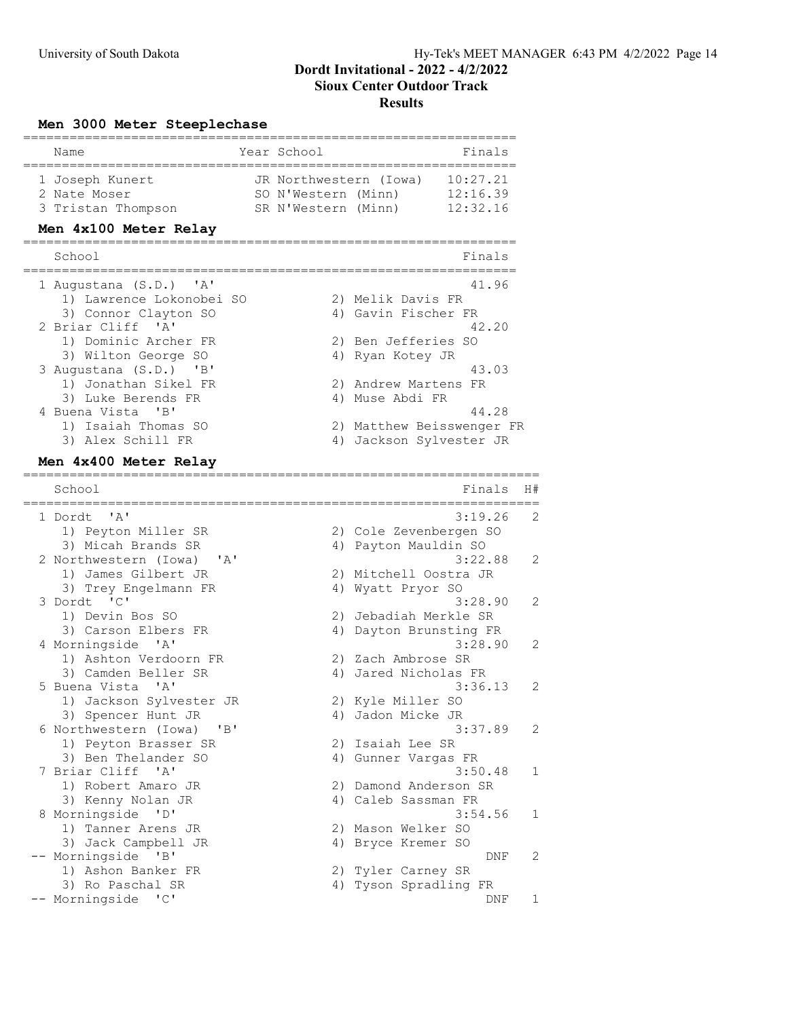### Men 3000 Meter Steeplechase

| Name<br>====================================                                         | Year School  |                                                                                                 | Finals                             |    |
|--------------------------------------------------------------------------------------|--------------|-------------------------------------------------------------------------------------------------|------------------------------------|----|
| 1 Joseph Kunert<br>2 Nate Moser<br>3 Tristan Thompson                                |              | JR Northwestern (Iowa) 10:27.21<br>SO N'Western (Minn) 12:16.39<br>SR N'Western (Minn) 12:32.16 |                                    |    |
| Men 4x100 Meter Relay                                                                |              |                                                                                                 |                                    |    |
| School<br>==============                                                             | .=========== | =========                                                                                       | Finals<br>============             |    |
| 1 Augustana (S.D.) 'A'<br>1) Lawrence Lokonobei SO<br>3) Connor Clayton SO           |              | 2) Melik Davis FR<br>4) Gavin Fischer FR                                                        | 41.96                              |    |
| 2 Briar Cliff 'A'<br>1) Dominic Archer FR                                            |              | 2) Ben Jefferies SO                                                                             | 42.20                              |    |
| 3) Wilton George SO<br>3 Augustana (S.D.)<br>$\overline{B}$                          |              | 4) Ryan Kotey JR                                                                                | 43.03                              |    |
| 1) Jonathan Sikel FR<br>3) Luke Berends FR                                           |              | 2) Andrew Martens FR<br>4) Muse Abdi FR                                                         |                                    |    |
| 4 Buena Vista 'B'<br>1) Isaiah Thomas SO                                             |              |                                                                                                 | 44.28<br>2) Matthew Beisswenger FR |    |
| 3) Alex Schill FR<br>Men 4x400 Meter Relay                                           |              | 4) Jackson Sylvester JR                                                                         |                                    |    |
| School                                                                               |              |                                                                                                 | Finals                             | H# |
| $^{\prime}$ A $^{\prime}$<br>1 Dordt                                                 |              |                                                                                                 | 3:19.26                            | 2  |
| 1) Peyton Miller SR<br>3) Micah Brands SR                                            |              | 2) Cole Zevenbergen SO<br>4) Payton Mauldin SO                                                  |                                    |    |
| 2 Northwestern (Iowa)<br>$^{\prime}$ A $^{\prime}$<br>1) James Gilbert JR            |              | 2) Mitchell Oostra JR                                                                           | 3:22.88                            | 2  |
| 3) Trey Engelmann FR<br>3 Dordt 'C'<br>1) Devin Bos SO                               |              | 4) Wyatt Pryor SO<br>2) Jebadiah Merkle SR                                                      | 3:28.90                            | 2  |
| 3) Carson Elbers FR<br>4 Morningside 'A'                                             |              | 4) Dayton Brunsting FR                                                                          | 3:28.90                            | 2  |
| 1) Ashton Verdoorn FR<br>3) Camden Beller SR<br>5 Buena Vista 'A'                    |              | 2) Zach Ambrose SR<br>4) Jared Nicholas FR                                                      | 3:36.13                            | 2  |
| 1) Jackson Sylvester JR<br>3) Spencer Hunt JR                                        |              | 2) Kyle Miller SO<br>4) Jadon Micke JR                                                          |                                    |    |
| 6 Northwestern (Iowa)<br>$\mathbf{B}$<br>1) Peyton Brasser SR<br>3) Ben Thelander SO |              | 2) Isaiah Lee SR<br>4) Gunner Vargas FR                                                         | 3:37.89                            | 2  |
| 7 Briar Cliff<br>$^{\prime}$ A $^{\prime}$<br>1) Robert Amaro JR                     |              | 2) Damond Anderson SR                                                                           | 3:50.48                            | 1  |
| 3) Kenny Nolan JR<br>8 Morningside 'D'<br>1) Tanner Arens JR                         |              | 4) Caleb Sassman FR<br>2) Mason Welker SO                                                       | 3:54.56                            | 1  |
| 3) Jack Campbell JR<br>-- Morningside 'B'<br>1) Ashon Banker FR                      |              | 4) Bryce Kremer SO<br>2) Tyler Carney SR                                                        | DNF                                | 2  |
| 3) Ro Paschal SR<br>-- Morningside 'C'                                               |              | 4) Tyson Spradling FR                                                                           | DNF                                | 1  |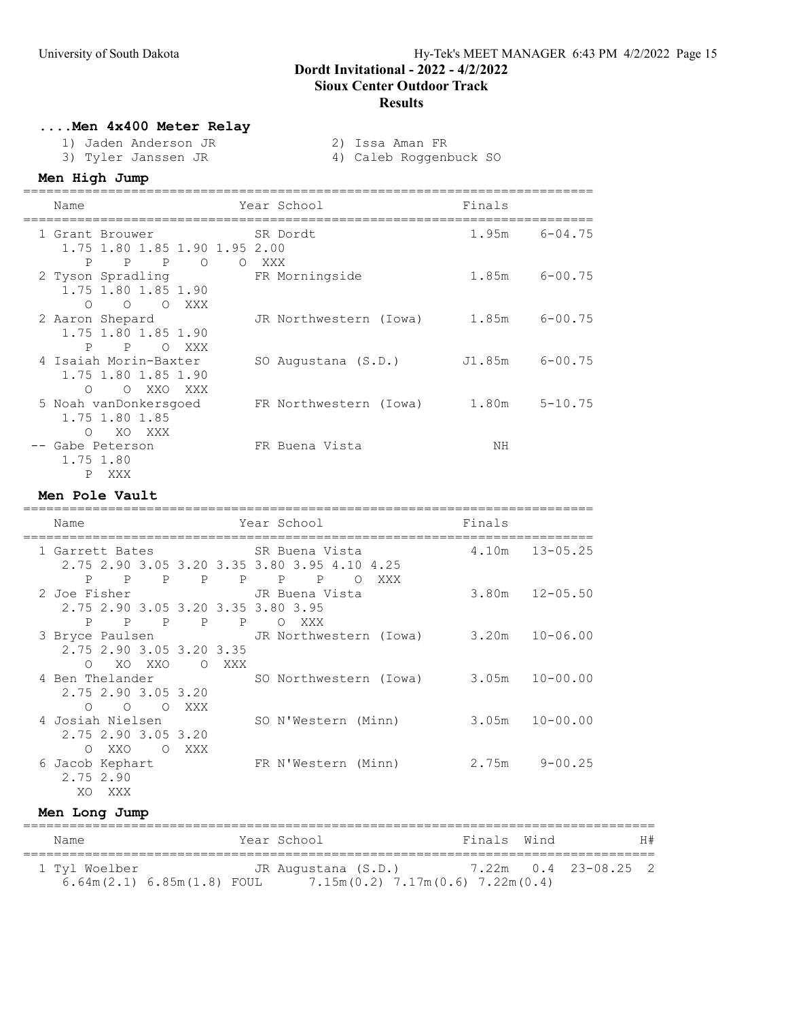# ....Men 4x400 Meter Relay

- 1) Jaden Anderson JR 2) Issa Aman FR
	-
- 
- 3) Tyler Janssen JR 4) Caleb Roggenbuck SO

# Men High Jump

| Name                                                                   | Year School             | Finals               |
|------------------------------------------------------------------------|-------------------------|----------------------|
| 1 Grant Brouwer<br>1.75 1.80 1.85 1.90 1.95 2.00                       | SR Dordt                | 1.95m<br>$6 - 04.75$ |
| P P P<br>$\circ$<br>2 Tyson Spradling<br>1.75 1.80 1.85 1.90           | O XXX<br>FR Morningside | $1.85m$ $6-00.75$    |
| O O O XXX<br>2 Aaron Shepard<br>1.75 1.80 1.85 1.90                    | JR Northwestern (Iowa)  | $6 - 00.75$<br>1.85m |
| $\mathbf{P}$<br>P OXXX<br>4 Isaiah Morin-Baxter<br>1.75 1.80 1.85 1.90 | SO Augustana (S.D.)     | $J1.85m$ $6-00.75$   |
| O XXO XXX<br>$\Omega$<br>5 Noah vanDonkersgoed<br>1.75 1.80 1.85       | FR Northwestern (Iowa)  | $5 - 10.75$<br>1.80m |
| XO XXX<br>$\Omega$<br>-- Gabe Peterson<br>1.75 1.80<br>P<br>XXX        | FR Buena Vista          | NΗ                   |

### Men Pole Vault

| Name                                                                                                 | Year School                                                                    | Finals               |
|------------------------------------------------------------------------------------------------------|--------------------------------------------------------------------------------|----------------------|
| 1 Garrett Bates                                                                                      | SR Buena Vista                                                                 | $4.10m$ $13-05.25$   |
| $P$ $P$                                                                                              | 2.75 2.90 3.05 3.20 3.35 3.80 3.95 4.10 4.25<br>P P P P P P<br>XXX<br>$\Omega$ |                      |
| 2 Joe Fisher                                                                                         | JR Buena Vista                                                                 | $3.80m$ $12-05.50$   |
| 2.75 2.90 3.05 3.20 3.35 3.80 3.95<br>$\mathbf{P}$<br>$\mathbb{P}$<br>$\overline{P}$<br>$\mathbb{P}$ | $\mathbb{P}$<br>O XXX                                                          |                      |
| 3 Bryce Paulsen                                                                                      | JR Northwestern (Iowa)                                                         | $3.20m$ $10-06.00$   |
| 2.75 2.90 3.05 3.20 3.35<br>XO XXO<br>O XXX<br>$\bigcirc$                                            |                                                                                |                      |
| 4 Ben Thelander                                                                                      | SO Northwestern (Iowa) 3.05m 10-00.00                                          |                      |
| 2.75 2.90 3.05 3.20                                                                                  |                                                                                |                      |
| $\circ$ $\circ$ $\circ$<br>XXX<br>4 Josiah Nielsen                                                   | SO N'Western (Minn)                                                            | $3.05m$ $10-00.00$   |
| 2.75 2.90 3.05 3.20                                                                                  |                                                                                |                      |
| XXO<br>XXX<br>$\bigcirc$<br>$\bigcirc$<br>6 Jacob Kephart                                            | FR N'Western (Minn)                                                            | $9 - 00.25$<br>2.75m |
| 2.75 2.90                                                                                            |                                                                                |                      |
| XO.<br>XXX                                                                                           |                                                                                |                      |

### Men Long Jump

| Name          |                              | Year School                                                   | Finals Wind |                      | H# |
|---------------|------------------------------|---------------------------------------------------------------|-------------|----------------------|----|
| 1 Tyl Woelber | $6.64m(2.1) 6.85m(1.8)$ FOUL | JR Augustana (S.D.)<br>$7.15m(0.2)$ $7.17m(0.6)$ $7.22m(0.4)$ |             | 7.22m 0.4 23-08.25 2 |    |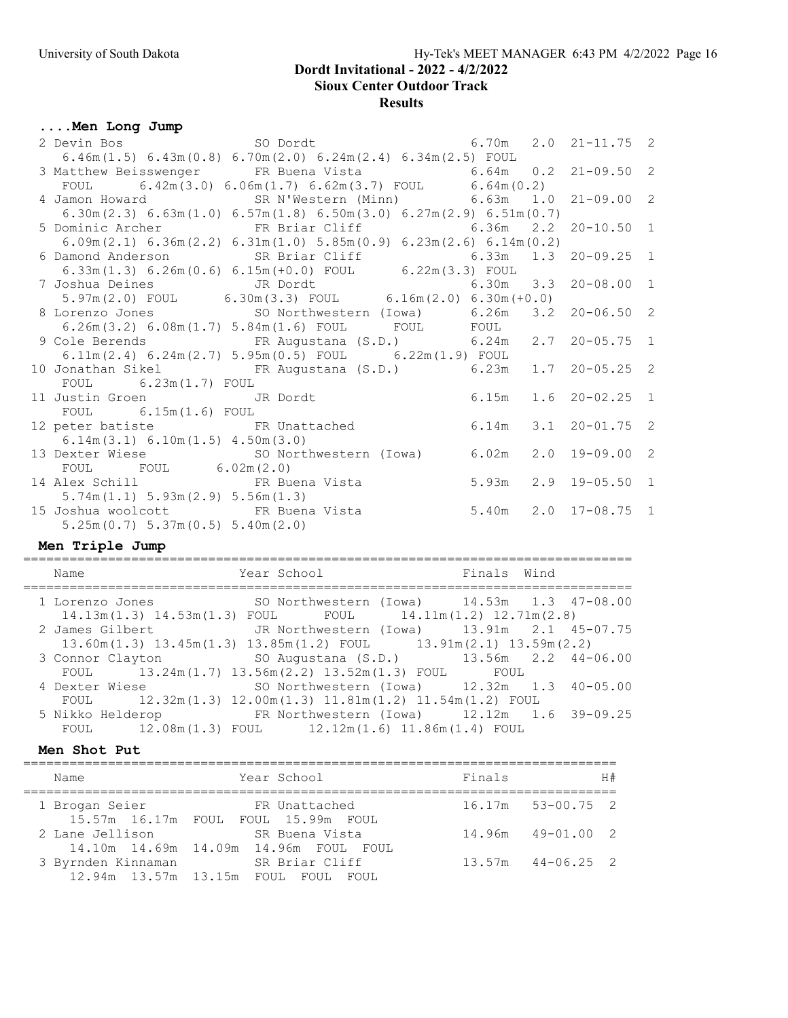# Sioux Center Outdoor Track

### Results

# ....Men Long Jump

|                                        | 2 Devin Bos 30 Dordt 6.70m 2.0 21-11.75 2                                                                                           |  |                  |  |
|----------------------------------------|-------------------------------------------------------------------------------------------------------------------------------------|--|------------------|--|
|                                        | $6.46m(1.5) 6.43m(0.8) 6.70m(2.0) 6.24m(2.4) 6.34m(2.5) FOUL$                                                                       |  |                  |  |
|                                        | 3 Matthew Beisswenger FR Buena Vista 6.64m 0.2 21-09.50 2                                                                           |  |                  |  |
|                                        | FOUL $6.42m(3.0) 6.06m(1.7) 6.62m(3.7)$ FOUL $6.64m(0.2)$                                                                           |  |                  |  |
|                                        | 4 Jamon Howard SR N'Western (Minn) 6.63m 1.0 21-09.00 2                                                                             |  |                  |  |
|                                        | 6.30m (2.3) 6.63m (1.0) 6.57m (1.8) 6.50m (3.0) 6.27m (2.9) 6.51m (0.7)                                                             |  |                  |  |
|                                        | 5 Dominic Archer FR Briar Cliff 6.36m 2.2 20-10.50 1                                                                                |  |                  |  |
|                                        | $6.09$ m $(2.1)$ $6.36$ m $(2.2)$ $6.31$ m $(1.0)$ $5.85$ m $(0.9)$ $6.23$ m $(2.6)$ $6.14$ m $(0.2)$                               |  |                  |  |
|                                        |                                                                                                                                     |  |                  |  |
|                                        | 6 Damond Anderson SR Briar Cliff 6.33m 1.3 20-09.25 1<br>6.33m(1.3) 6.26m(0.6) 6.15m(+0.0) FOUL 6.22m(3.3) FOUL                     |  |                  |  |
|                                        |                                                                                                                                     |  |                  |  |
|                                        | 7 Joshua Deines<br>5.97m(2.0) FOUL 6.30m(3.3) FOUL 6.16m(2.0) 6.30m(+0.0)                                                           |  |                  |  |
|                                        | 8 Lorenzo Jones 50 Northwestern (Iowa) 6.26m 3.2 20-06.50 2                                                                         |  |                  |  |
|                                        | $6.26\text{m}(3.2)$ $6.08\text{m}(1.7)$ $5.84\text{m}(1.6)$ ${\small\texttt{FOUL}}$ ${\small\texttt{FOUL}}$ ${\small\texttt{FOUL}}$ |  |                  |  |
|                                        | 9 Cole Berends FR Augustana (S.D.) 6.24m 2.7 20-05.75 1                                                                             |  |                  |  |
|                                        | $6.11\text{m} (2.4)$ $6.24\text{m} (2.7)$ $5.95\text{m} (0.5)$ ${\text{FOUL}}$ $6.22\text{m} (1.9)$ ${\text{FOUL}}$                 |  |                  |  |
|                                        | 10 Jonathan Sikel FR Augustana (S.D.) 6.23m 1.7 20-05.25 2                                                                          |  |                  |  |
| FOUL $6.23m(1.7)$ FOUL                 |                                                                                                                                     |  |                  |  |
| 11 Justin Groen JR Dordt               | 6.15m                                                                                                                               |  | $1.6$ 20-02.25 1 |  |
| $FOUL$ 6.15m(1.6) FOUL                 |                                                                                                                                     |  |                  |  |
|                                        | 12 peter batiste FR Unattached 6.14m 3.1 20-01.75 2                                                                                 |  |                  |  |
| $6.14m(3.1)$ $6.10m(1.5)$ $4.50m(3.0)$ |                                                                                                                                     |  |                  |  |
|                                        | 13 Dexter Wiese SO Northwestern (Iowa) 6.02m 2.0 19-09.00 2                                                                         |  |                  |  |
| FOUL FOUL $6.02m(2.0)$                 |                                                                                                                                     |  |                  |  |
|                                        | 14 Alex Schill FR Buena Vista 5.93m 2.9 19-05.50 1                                                                                  |  |                  |  |
| $5.74m(1.1)$ $5.93m(2.9)$ $5.56m(1.3)$ |                                                                                                                                     |  |                  |  |
| 15 Joshua woolcott 6 FR Buena Vista    | 5.40m 2.0 17-08.75 1                                                                                                                |  |                  |  |
| $5.25m(0.7)$ $5.37m(0.5)$ $5.40m(2.0)$ |                                                                                                                                     |  |                  |  |
|                                        |                                                                                                                                     |  |                  |  |

# Men Triple Jump

| Name           | Year School                                                                                    | Finals Wind |
|----------------|------------------------------------------------------------------------------------------------|-------------|
|                |                                                                                                |             |
|                | 1 Lorenzo Jones SO Northwestern (Iowa) 14.53m 1.3 47-08.00                                     |             |
|                | $14.13\text{m}(1.3)$ $14.53\text{m}(1.3)$ FOUL FOUL $14.11\text{m}(1.2)$ $12.71\text{m}(2.8)$  |             |
|                | 2 James Gilbert 51 JR Northwestern (Iowa) 13.91m 2.1 45-07.75                                  |             |
|                | $13.60$ m $(1.3)$ $13.45$ m $(1.3)$ $13.85$ m $(1.2)$ FOUL $13.91$ m $(2.1)$ $13.59$ m $(2.2)$ |             |
|                | 3 Connor Clayton 50 Augustana (S.D.) 13.56m 2.2 44-06.00                                       |             |
|                | FOUL 13.24m(1.7) 13.56m(2.2) 13.52m(1.3) FOUL FOUL                                             |             |
| 4 Dexter Wiese | SO Northwestern (Iowa) $12.32m$ $1.3$ $40-05.00$                                               |             |
|                | FOUL 12.32m(1.3) 12.00m(1.3) 11.81m(1.2) 11.54m(1.2) FOUL                                      |             |
|                | 5 Nikko Helderop FR Northwestern (Iowa) 12.12m 1.6 39-09.25                                    |             |
|                | FOUL 12.08m(1.3) FOUL 12.12m(1.6) 11.86m(1.4) FOUL                                             |             |

### Men Shot Put

| Name               | Year School                                                    | Finals | H#                    |
|--------------------|----------------------------------------------------------------|--------|-----------------------|
| 1 Brogan Seier     | FR Unattached<br>15.57m 16.17m FOUL FOUL 15.99m FOUL           |        | $16.17m$ 53-00.75 2   |
| 2 Lane Jellison    | - SR Buena Vista<br>14.10m  14.69m  14.09m  14.96m  FOUL  FOUL |        | $14.96m$ $49-01.00$ 2 |
| 3 Byrnden Kinnaman | SR Briar Cliff<br>12.94m 13.57m 13.15m FOUL FOUL<br>FOUL.      |        | $13.57m$ $44-06.25$ 2 |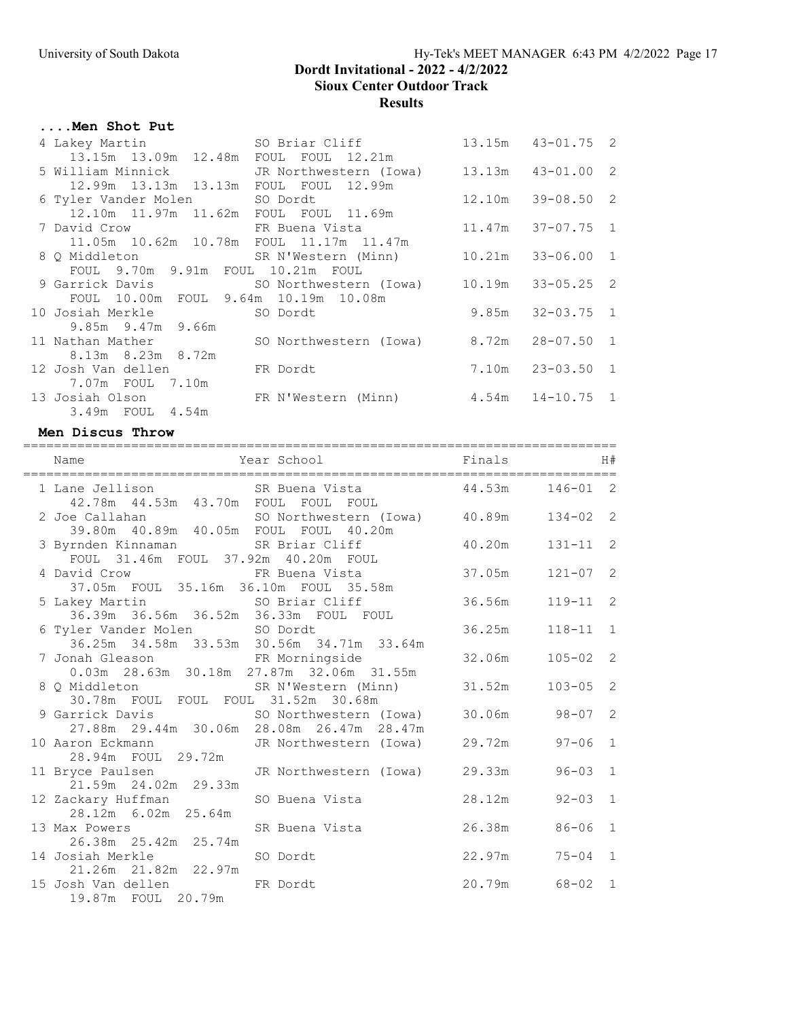# ....Men Shot Put

|                                            | 4 Lakey Martin SO Briar Cliff                              | $13.15m$ $43-01.75$ 2 |  |
|--------------------------------------------|------------------------------------------------------------|-----------------------|--|
| 13.15m  13.09m  12.48m  FOUL  FOUL  12.21m |                                                            |                       |  |
|                                            | 5 William Minnick JR Northwestern (Iowa) 13.13m 43-01.00 2 |                       |  |
| 12.99m 13.13m 13.13m FOUL FOUL 12.99m      |                                                            |                       |  |
|                                            | 6 Tyler Vander Molen SO Dordt                              | $12.10m$ $39-08.50$ 2 |  |
| 12.10m  11.97m  11.62m  FOUL  FOUL  11.69m |                                                            |                       |  |
|                                            | 7 David Crow TR Buena Vista 11.47m 37-07.75 1              |                       |  |
| 11.05m 10.62m 10.78m FOUL 11.17m 11.47m    |                                                            |                       |  |
|                                            | 8 Q Middleton SR N'Western (Minn) 10.21m 33-06.00 1        |                       |  |
| FOUL 9.70m 9.91m FOUL 10.21m FOUL          |                                                            |                       |  |
|                                            | 9 Garrick Davis (SO Northwestern (Iowa) 10.19m 33-05.25 2  |                       |  |
|                                            |                                                            |                       |  |
| 10 Josiah Merkle 50 Dordt                  |                                                            | $9.85m$ $32-03.75$ 1  |  |
| 9.85m 9.47m 9.66m                          |                                                            |                       |  |
|                                            | 11 Nathan Mather 50 Northwestern (Iowa) 8.72m 28-07.50 1   |                       |  |
| 8.13m 8.23m 8.72m                          |                                                            |                       |  |
| 12 Josh Van dellen Kant FR Dordt           |                                                            | 7.10m  23-03.50  1    |  |
|                                            |                                                            |                       |  |
|                                            | 13 Josiah Olson FR N'Western (Minn) 4.54m 14-10.75 1       |                       |  |
| 3.49m FOUL 4.54m                           |                                                            |                       |  |

### Men Discus Throw

| H# |                     | Finals | Year School<br>Name                                                                                     |  |
|----|---------------------|--------|---------------------------------------------------------------------------------------------------------|--|
|    | $146 - 01$ 2        |        | 1 Lane Jellison SR Buena Vista 44.53m<br>42.78m  44.53m  43.70m  FOUL  FOUL  FOUL                       |  |
|    |                     |        | 2 Joe Callahan 50 Northwestern (Iowa) 40.89m 134-02 2<br>39.80m 40.89m 40.05m FOUL FOUL 40.20m          |  |
|    | $40.20m$ $131-11$ 2 |        | 3 Byrnden Kinnaman SR Briar Cliff<br>FOUL 31.46m FOUL 37.92m 40.20m FOUL                                |  |
|    | $121 - 07$ 2        |        | 4 David Crow FR Buena Vista 37.05m<br>37.05m FOUL 35.16m 36.10m FOUL 35.58m                             |  |
| 2  | $119 - 11$          | 36.56m | 5 Lakey Martin SO Briar Cliff                                                                           |  |
|    | $118 - 11$ 1        | 36.25m | 6 Tyler Vander Molen SO Dordt<br>36.25m 34.58m 33.53m 30.56m 34.71m 33.64m                              |  |
|    | $105 - 02$ 2        | 32.06m | 7 Jonah Gleason Normingside<br>0.03m  28.63m  30.18m  27.87m  32.06m  31.55m                            |  |
|    | $103 - 05$ 2        |        | 8 Q Middleton<br>30.78m FOUL FOUL FOUL 31.52m 30.68m                                                    |  |
|    |                     |        | 9 Garrick Davis SO Northwestern (Iowa) 30.06m 98-07 2<br>27.88m  29.44m  30.06m  28.08m  26.47m  28.47m |  |
|    |                     |        | 10 Aaron Eckmann Man JR Northwestern (Iowa) 29.72m 97-06 1<br>28.94m  FOUL  29.72m                      |  |
|    | $96 - 03$ 1         |        | 11 Bryce Paulsen<br>21.59m 24.02m 29.33m<br>29.33m                                                      |  |
|    | $92 - 03$ 1         | 28.12m | 12 Zackary Huffman               SO Buena Vista<br>28.12m 6.02m 25.64m                                  |  |
|    |                     |        | 13 Max Powers 6-06 SR Buena Vista 26.38m 86-06 1<br>26.38m  25.42m  25.74m                              |  |
|    |                     |        | 22.97m 75-04 1<br>14 Josiah Merkle SO Dordt<br>21.26m  21.82m  22.97m                                   |  |
|    | 20.79m 68-02 1      |        | 15 Josh Van dellen FR Dordt<br>19.87m FOUL 20.79m                                                       |  |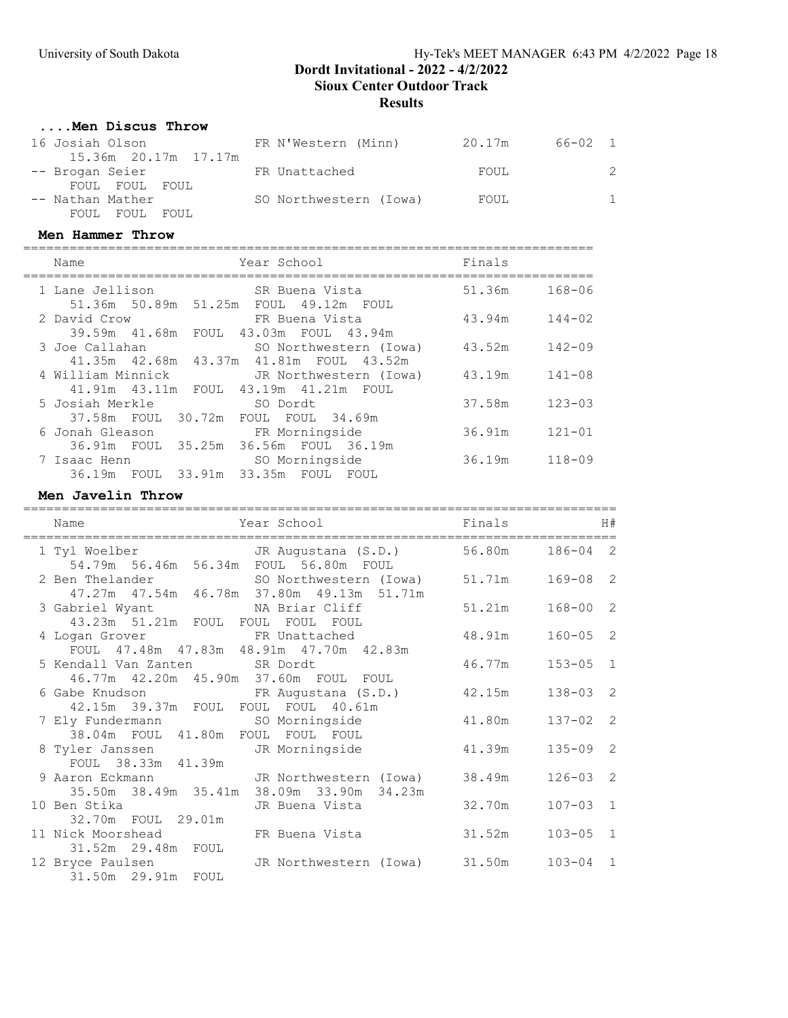### ....Men Discus Throw

| 16 Josiah Olson      | FR N'Western (Minn)    | 20.17m | 66-02 1 |    |
|----------------------|------------------------|--------|---------|----|
| 15.36m 20.17m 17.17m |                        |        |         |    |
| -- Brogan Seier      | FR Unattached          | FOUL   |         | 2  |
| FOUL FOUL FOUL       |                        |        |         |    |
| -- Nathan Mather     | SO Northwestern (Iowa) | FOUL   |         | 1. |
| FOUL FOUL FOUL       |                        |        |         |    |

#### Men Hammer Throw

==========================================================================

| Name                 |        | Year School                         |                |                                         | Finals |            |
|----------------------|--------|-------------------------------------|----------------|-----------------------------------------|--------|------------|
| 1 Lane Jellison      |        |                                     | SR Buena Vista |                                         | 51.36m | $168 - 06$ |
| 51.36m 50.89m 51.25m |        |                                     |                | FOUL 49.12m FOUL                        |        |            |
| 2 David Crow         |        |                                     | FR Buena Vista |                                         | 43.94m | $144 - 02$ |
| 39.59m 41.68m        | FOUL   |                                     |                | 43.03m FOUL 43.94m                      |        |            |
| 3 Joe Callahan       |        |                                     |                | SO Northwestern (Iowa)                  | 43.52m | $142 - 09$ |
|                      |        |                                     |                | 41.35m 42.68m 43.37m 41.81m FOUL 43.52m |        |            |
| 4 William Minnick    |        |                                     |                | JR Northwestern (Iowa)                  | 43.19m | $141 - 08$ |
| 41.91m  43.11m  FOUL |        |                                     |                | 43.19m  41.21m  FOUL                    |        |            |
| 5 Josiah Merkle      |        | SO Dordt                            |                |                                         | 37.58m | $123 - 03$ |
| 37.58m FOUL          | 30.72m | FOUL FOUL 34.69m                    |                |                                         |        |            |
| 6 Jonah Gleason      |        |                                     | FR Morningside |                                         | 36.91m | $121 - 01$ |
| 36.91m FOUL          | 35.25m |                                     |                | 36.56m FOUL 36.19m                      |        |            |
| 7 Isaac Henn         |        |                                     | SO Morningside |                                         | 36.19m | $118 - 09$ |
|                      |        | 36.19m FOUL 33.91m 33.35m FOUL FOUL |                |                                         |        |            |

### Men Javelin Throw

| Year School<br>Name<br>--------------------------                                                          |        | Finals | H#           |
|------------------------------------------------------------------------------------------------------------|--------|--------|--------------|
| 1 Tyl Woelber JR Augustana (S.D.) 56.80m<br>54.79m 56.46m 56.34m FOUL 56.80m FOUL                          |        |        | $186 - 04$ 2 |
| 2 Ben Thelander SO Northwestern (Iowa) 51.71m<br>47.27m  47.54m  46.78m  37.80m  49.13m  51.71m            |        |        | $169 - 08$ 2 |
| 3 Gabriel Wyant NA Briar Cliff<br>43.23m 51.21m FOUL FOUL FOUL FOUL                                        |        | 51.21m | $168 - 00$ 2 |
| 4 Logan Grover TR Unattached<br>FOUL 47.48m 47.83m 48.91m 47.70m 42.83m                                    |        | 48.91m | $160 - 05$ 2 |
| 5 Kendall Van Zanten SR Dordt<br>46.77m  42.20m  45.90m  37.60m  FOUL  FOUL                                |        | 46.77m | $153 - 05$ 1 |
| 6 Gabe Knudson                 FR Augustana (S.D.)           42.15m<br>42.15m 39.37m FOUL FOUL FOUL 40.61m |        |        | $138 - 03$ 2 |
| 7 Ely Fundermann so Morningside 41.80m<br>38.04m FOUL 41.80m FOUL FOUL FOUL                                |        |        | $137 - 02$ 2 |
| 8 Tyler Janssen Marningside<br>FOUL 38.33m 41.39m                                                          | 41.39m |        | $135 - 09$ 2 |
| 9 Aaron Eckmann Man JR Northwestern (Iowa)<br>35.50m 38.49m 35.41m 38.09m 33.90m 34.23m                    |        | 38.49m | $126 - 03$ 2 |
| 10 Ben Stika Martin JR Buena Vista<br>32.70m FOUL 29.01m                                                   |        | 32.70m | $107 - 03$ 1 |
| 11 Nick Moorshead TR Buena Vista<br>31.52m 29.48m FOUL                                                     | 31.52m |        | $103 - 05$ 1 |
| 12 Bryce Paulsen Marchwestern (Iowa) 31.50m<br>31.50m 29.91m FOUL                                          |        |        | $103 - 04$ 1 |